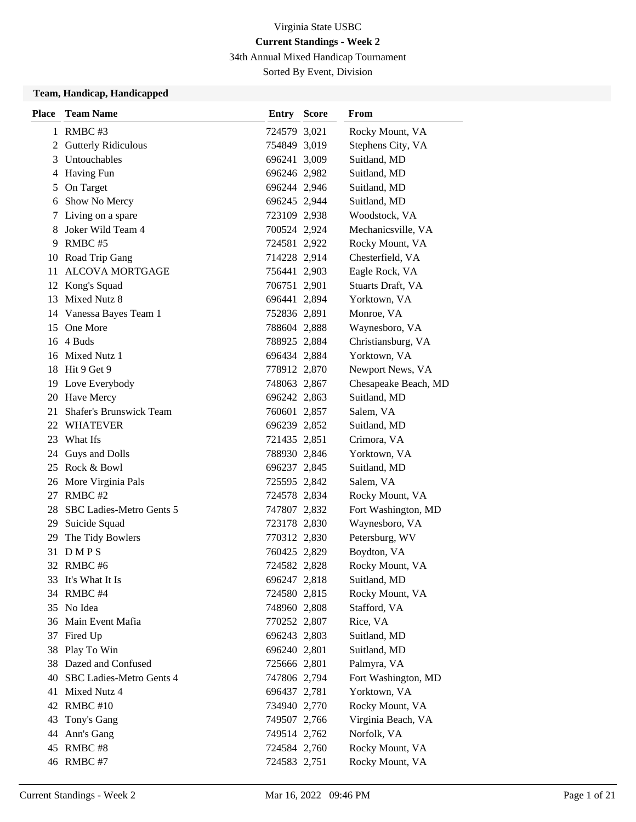34th Annual Mixed Handicap Tournament

Sorted By Event, Division

### **Team, Handicap, Handicapped**

| <b>Place</b> | <b>Team Name</b>            | <b>Entry Score</b> | From                 |
|--------------|-----------------------------|--------------------|----------------------|
|              | 1 RMBC #3                   | 724579 3,021       | Rocky Mount, VA      |
| 2            | <b>Gutterly Ridiculous</b>  | 754849 3,019       | Stephens City, VA    |
| 3            | <b>Untouchables</b>         | 696241 3,009       | Suitland, MD         |
| 4            | <b>Having Fun</b>           | 696246 2,982       | Suitland, MD         |
| 5            | On Target                   | 696244 2,946       | Suitland, MD         |
| 6            | Show No Mercy               | 696245 2,944       | Suitland, MD         |
| 7            | Living on a spare           | 723109 2,938       | Woodstock, VA        |
| 8            | Joker Wild Team 4           | 700524 2,924       | Mechanicsville, VA   |
| 9            | RMBC#5                      | 724581 2,922       | Rocky Mount, VA      |
|              | 10 Road Trip Gang           | 714228 2,914       | Chesterfield, VA     |
| 11           | <b>ALCOVA MORTGAGE</b>      | 756441 2,903       | Eagle Rock, VA       |
|              | 12 Kong's Squad             | 706751 2,901       | Stuarts Draft, VA    |
| 13           | Mixed Nutz 8                | 696441 2,894       | Yorktown, VA         |
|              | 14 Vanessa Bayes Team 1     | 752836 2,891       | Monroe, VA           |
|              | 15 One More                 | 788604 2,888       | Waynesboro, VA       |
|              | 16 4 Buds                   | 788925 2,884       | Christiansburg, VA   |
|              | 16 Mixed Nutz 1             | 696434 2,884       | Yorktown, VA         |
|              | 18 Hit 9 Get 9              | 778912 2,870       | Newport News, VA     |
|              | 19 Love Everybody           | 748063 2,867       | Chesapeake Beach, MD |
|              | 20 Have Mercy               | 696242 2,863       | Suitland, MD         |
| 21           | Shafer's Brunswick Team     | 760601 2,857       | Salem, VA            |
|              | 22 WHATEVER                 | 696239 2,852       | Suitland, MD         |
|              | 23 What Ifs                 | 721435 2,851       | Crimora, VA          |
|              | 24 Guys and Dolls           | 788930 2,846       | Yorktown, VA         |
|              | 25 Rock & Bowl              | 696237 2,845       | Suitland, MD         |
|              | 26 More Virginia Pals       | 725595 2,842       | Salem, VA            |
| 27           | RMBC#2                      | 724578 2,834       | Rocky Mount, VA      |
|              | 28 SBC Ladies-Metro Gents 5 | 747807 2,832       | Fort Washington, MD  |
|              | 29 Suicide Squad            | 723178 2,830       | Waynesboro, VA       |
| 29           | The Tidy Bowlers            | 770312 2,830       | Petersburg, WV       |
|              | 31 DMPS                     | 760425 2,829       | Boydton, VA          |
|              | 32 RMBC #6                  | 724582 2,828       | Rocky Mount, VA      |
|              | 33 It's What It Is          | 696247 2,818       | Suitland, MD         |
|              | 34 RMBC #4                  | 724580 2,815       | Rocky Mount, VA      |
|              | 35 No Idea                  | 748960 2,808       | Stafford, VA         |
|              | 36 Main Event Mafia         | 770252 2,807       | Rice, VA             |
|              | 37 Fired Up                 | 696243 2,803       | Suitland, MD         |
|              | 38 Play To Win              | 696240 2,801       | Suitland, MD         |
|              | 38 Dazed and Confused       | 725666 2,801       | Palmyra, VA          |
|              | 40 SBC Ladies-Metro Gents 4 | 747806 2,794       | Fort Washington, MD  |
|              | 41 Mixed Nutz 4             | 696437 2,781       | Yorktown, VA         |
|              | 42 RMBC #10                 | 734940 2,770       | Rocky Mount, VA      |
| 43           | Tony's Gang                 | 749507 2,766       | Virginia Beach, VA   |
|              | 44 Ann's Gang               | 749514 2,762       | Norfolk, VA          |
|              | 45 RMBC #8                  | 724584 2,760       | Rocky Mount, VA      |
|              | 46 RMBC #7                  | 724583 2,751       | Rocky Mount, VA      |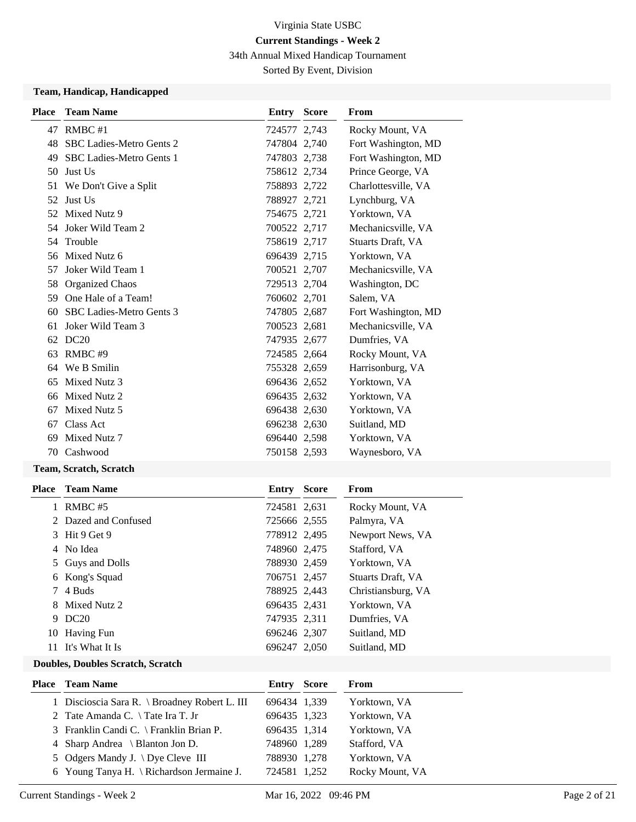34th Annual Mixed Handicap Tournament

Sorted By Event, Division

## **Team, Handicap, Handicapped**

| <b>Place</b> | <b>Team Name</b>                | Entry        | <b>Score</b> | From                |
|--------------|---------------------------------|--------------|--------------|---------------------|
|              | 47 RMBC #1                      | 724577 2,743 |              | Rocky Mount, VA     |
| 48           | <b>SBC Ladies-Metro Gents 2</b> | 747804 2.740 |              | Fort Washington, MD |
| 49           | <b>SBC Ladies-Metro Gents 1</b> | 747803 2,738 |              | Fort Washington, MD |
| 50           | Just Us                         | 758612 2,734 |              | Prince George, VA   |
| 51           | We Don't Give a Split           | 758893 2,722 |              | Charlottesville, VA |
| 52           | Just Us                         | 788927 2,721 |              | Lynchburg, VA       |
| 52           | Mixed Nutz 9                    | 754675 2,721 |              | Yorktown, VA        |
|              | 54 Joker Wild Team 2            | 700522 2,717 |              | Mechanicsville, VA  |
| 54           | Trouble                         | 758619 2,717 |              | Stuarts Draft, VA   |
|              | 56 Mixed Nutz 6                 | 696439 2,715 |              | Yorktown, VA        |
| 57           | Joker Wild Team 1               | 700521 2,707 |              | Mechanicsville, VA  |
| 58           | <b>Organized Chaos</b>          | 729513 2,704 |              | Washington, DC      |
| 59           | One Hale of a Team!             | 760602 2,701 |              | Salem, VA           |
| 60           | SBC Ladies-Metro Gents 3        | 747805 2,687 |              | Fort Washington, MD |
| 61           | Joker Wild Team 3               | 700523 2,681 |              | Mechanicsville, VA  |
| 62           | DC20                            | 747935 2,677 |              | Dumfries, VA        |
| 63           | RMBC#9                          | 724585 2,664 |              | Rocky Mount, VA     |
| 64           | We B Smilin                     | 755328 2,659 |              | Harrisonburg, VA    |
| 65           | Mixed Nutz 3                    | 696436 2,652 |              | Yorktown, VA        |
| 66           | Mixed Nutz 2                    | 696435 2,632 |              | Yorktown, VA        |
| 67           | Mixed Nutz 5                    | 696438 2,630 |              | Yorktown, VA        |
| 67           | Class Act                       | 696238 2,630 |              | Suitland, MD        |
| 69           | Mixed Nutz 7                    | 696440 2,598 |              | Yorktown, VA        |
| 70           | Cashwood                        | 750158 2,593 |              | Waynesboro, VA      |
|              |                                 |              |              |                     |

## **Team, Scratch, Scratch**

| <b>Team Name</b>     | Entry | <b>Score</b> | From                                                                                                                                                                         |
|----------------------|-------|--------------|------------------------------------------------------------------------------------------------------------------------------------------------------------------------------|
| RMBC#5               |       |              | Rocky Mount, VA                                                                                                                                                              |
| 2 Dazed and Confused |       |              | Palmyra, VA                                                                                                                                                                  |
| 3 Hit 9 Get 9        |       |              | Newport News, VA                                                                                                                                                             |
| 4 No Idea            |       |              | Stafford, VA                                                                                                                                                                 |
| 5 Guys and Dolls     |       |              | Yorktown, VA                                                                                                                                                                 |
| 6 Kong's Squad       |       |              | Stuarts Draft, VA                                                                                                                                                            |
| 4 Buds               |       |              | Christiansburg, VA                                                                                                                                                           |
| 8 Mixed Nutz 2       |       |              | Yorktown, VA                                                                                                                                                                 |
| DC20                 |       |              | Dumfries, VA                                                                                                                                                                 |
| 10 Having Fun        |       |              | Suitland, MD                                                                                                                                                                 |
| It's What It Is      |       |              | Suitland, MD                                                                                                                                                                 |
|                      |       |              | 724581 2,631<br>725666 2,555<br>778912 2,495<br>748960 2,475<br>788930 2,459<br>706751 2,457<br>788925 2,443<br>696435 2,431<br>747935 2,311<br>696246 2,307<br>696247 2,050 |

#### **Doubles, Doubles Scratch, Scratch**

| <b>Place</b> Team Name                               | Entry        | Score | From            |
|------------------------------------------------------|--------------|-------|-----------------|
| 1 Discioscia Sara R. \ Broadney Robert L. III        | 696434 1,339 |       | Yorktown, VA    |
| 2 Tate Amanda C. $\setminus$ Tate Ira T. Jr          | 696435 1,323 |       | Yorktown, VA    |
| 3 Franklin Candi C. \ Franklin Brian P.              | 696435 1,314 |       | Yorktown, VA    |
| 4 Sharp Andrea \ Blanton Jon D.                      | 748960 1,289 |       | Stafford, VA    |
| 5 Odgers Mandy J. \ Dye Cleve III                    | 788930 1,278 |       | Yorktown, VA    |
| 6 Young Tanya H. $\backslash$ Richardson Jermaine J. | 724581 1,252 |       | Rocky Mount, VA |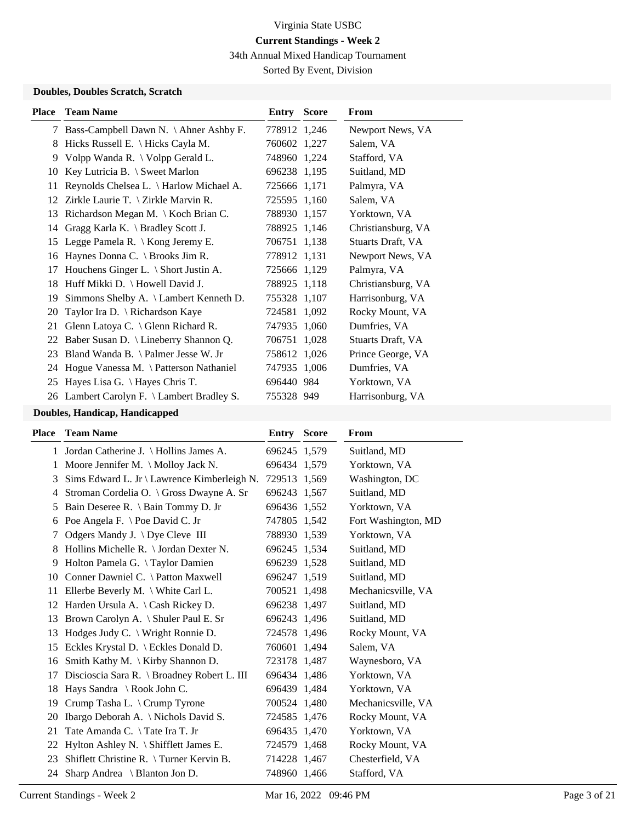34th Annual Mixed Handicap Tournament

Sorted By Event, Division

## **Doubles, Doubles Scratch, Scratch**

| Place | <b>Team Name</b>                                          | Entry        | <b>Score</b> | <b>From</b>        |
|-------|-----------------------------------------------------------|--------------|--------------|--------------------|
| 7     | Bass-Campbell Dawn N. \ Ahner Ashby F.                    | 778912 1,246 |              | Newport News, VA   |
| 8     | Hicks Russell E. $\langle$ Hicks Cayla M.                 | 760602 1,227 |              | Salem, VA          |
| 9     | Volpp Wanda R. \ Volpp Gerald L.                          | 748960 1,224 |              | Stafford, VA       |
| 10    | Key Lutricia B. $\setminus$ Sweet Marlon                  | 696238 1,195 |              | Suitland, MD       |
| 11    | Reynolds Chelsea L. \ Harlow Michael A.                   | 725666 1,171 |              | Palmyra, VA        |
| 12    | Zirkle Laurie T. $\{Zirkle Marvin R.\}$                   | 725595 1,160 |              | Salem, VA          |
| 13    | Richardson Megan M. \ Koch Brian C.                       | 788930 1,157 |              | Yorktown, VA       |
| 14    | Gragg Karla K. $\operatorname{\mathsf{Bradley}}$ Scott J. | 788925 1,146 |              | Christiansburg, VA |
| 15    | Legge Pamela R. \ Kong Jeremy E.                          | 706751 1,138 |              | Stuarts Draft, VA  |
| 16    | Haynes Donna C. \ Brooks Jim R.                           | 778912 1,131 |              | Newport News, VA   |
| 17    | Houchens Ginger L. \ Short Justin A.                      | 725666 1,129 |              | Palmyra, VA        |
| 18    | Huff Mikki D. \ Howell David J.                           | 788925 1,118 |              | Christiansburg, VA |
| 19    | Simmons Shelby A. \ Lambert Kenneth D.                    | 755328 1,107 |              | Harrisonburg, VA   |
| 20    | Taylor Ira D. \ Richardson Kaye                           | 724581 1,092 |              | Rocky Mount, VA    |
| 21    | Glenn Latoya C. $\setminus$ Glenn Richard R.              | 747935 1,060 |              | Dumfries, VA       |
| 22    | Baber Susan D. \ Lineberry Shannon Q.                     | 706751 1,028 |              | Stuarts Draft, VA  |
| 23    | Bland Wanda B. $\lambda$ Palmer Jesse W. Jr               | 758612 1,026 |              | Prince George, VA  |
|       | 24 Hogue Vanessa M. \ Patterson Nathaniel                 | 747935 1,006 |              | Dumfries, VA       |
| 25    | Hayes Lisa G. \ Hayes Chris T.                            | 696440 984   |              | Yorktown, VA       |
|       | 26 Lambert Carolyn F. \ Lambert Bradley S.                | 755328 949   |              | Harrisonburg, VA   |
|       |                                                           |              |              |                    |

# **Doubles, Handicap, Handicapped**

| <b>Team Name</b>                              |                                                                                                    | <b>Score</b> | From                                                                                                                                                                                                                                                                                                                                                                                                  |
|-----------------------------------------------|----------------------------------------------------------------------------------------------------|--------------|-------------------------------------------------------------------------------------------------------------------------------------------------------------------------------------------------------------------------------------------------------------------------------------------------------------------------------------------------------------------------------------------------------|
|                                               |                                                                                                    |              | Suitland, MD                                                                                                                                                                                                                                                                                                                                                                                          |
| Moore Jennifer M. \ Molloy Jack N.            |                                                                                                    |              | Yorktown, VA                                                                                                                                                                                                                                                                                                                                                                                          |
| Sims Edward L. Jr \ Lawrence Kimberleigh N.   |                                                                                                    |              | Washington, DC                                                                                                                                                                                                                                                                                                                                                                                        |
| Stroman Cordelia O. \ Gross Dwayne A. Sr      |                                                                                                    |              | Suitland, MD                                                                                                                                                                                                                                                                                                                                                                                          |
| Bain Deseree R. \ Bain Tommy D. Jr            |                                                                                                    |              | Yorktown, VA                                                                                                                                                                                                                                                                                                                                                                                          |
| Poe Angela F. \ Poe David C. Jr               |                                                                                                    |              | Fort Washington, MD                                                                                                                                                                                                                                                                                                                                                                                   |
| Odgers Mandy J. $\bigcup$ Dye Cleve III       |                                                                                                    |              | Yorktown, VA                                                                                                                                                                                                                                                                                                                                                                                          |
| Hollins Michelle R. \ Jordan Dexter N.        |                                                                                                    |              | Suitland, MD                                                                                                                                                                                                                                                                                                                                                                                          |
| Holton Pamela G. \Taylor Damien               |                                                                                                    |              | Suitland, MD                                                                                                                                                                                                                                                                                                                                                                                          |
| Conner Dawniel C. \ Patton Maxwell            |                                                                                                    |              | Suitland, MD                                                                                                                                                                                                                                                                                                                                                                                          |
| Ellerbe Beverly M. $\backslash$ White Carl L. |                                                                                                    |              | Mechanicsville, VA                                                                                                                                                                                                                                                                                                                                                                                    |
|                                               |                                                                                                    |              | Suitland, MD                                                                                                                                                                                                                                                                                                                                                                                          |
| Brown Carolyn A. \ Shuler Paul E. Sr          |                                                                                                    |              | Suitland, MD                                                                                                                                                                                                                                                                                                                                                                                          |
| Hodges Judy C. \ Wright Ronnie D.             |                                                                                                    |              | Rocky Mount, VA                                                                                                                                                                                                                                                                                                                                                                                       |
| Eckles Krystal D. \ Eckles Donald D.          |                                                                                                    |              | Salem, VA                                                                                                                                                                                                                                                                                                                                                                                             |
| Smith Kathy M. $\K$ irby Shannon D.           |                                                                                                    |              | Waynesboro, VA                                                                                                                                                                                                                                                                                                                                                                                        |
| Discioscia Sara R. \ Broadney Robert L. III   |                                                                                                    |              | Yorktown, VA                                                                                                                                                                                                                                                                                                                                                                                          |
| Hays Sandra \ Rook John C.                    |                                                                                                    |              | Yorktown, VA                                                                                                                                                                                                                                                                                                                                                                                          |
| Crump Tasha L. \ Crump Tyrone                 |                                                                                                    |              | Mechanicsville, VA                                                                                                                                                                                                                                                                                                                                                                                    |
| Ibargo Deborah A. \ Nichols David S.          |                                                                                                    |              | Rocky Mount, VA                                                                                                                                                                                                                                                                                                                                                                                       |
| Tate Amanda C. \Tate Ira T. Jr                |                                                                                                    |              | Yorktown, VA                                                                                                                                                                                                                                                                                                                                                                                          |
| Hylton Ashley N. \ Shifflett James E.         |                                                                                                    |              | Rocky Mount, VA                                                                                                                                                                                                                                                                                                                                                                                       |
| Shiflett Christine R. \Turner Kervin B.       |                                                                                                    |              | Chesterfield, VA                                                                                                                                                                                                                                                                                                                                                                                      |
| Sharp Andrea $\setminus$ Blanton Jon D.       |                                                                                                    |              | Stafford, VA                                                                                                                                                                                                                                                                                                                                                                                          |
|                                               | 1 Jordan Catherine J. \ Hollins James A.<br>Harden Ursula A. $\operatorname{Cash}$ Rickey D.<br>24 |              | Entry<br>696245 1,579<br>696434 1,579<br>729513 1,569<br>696243 1,567<br>696436 1,552<br>747805 1,542<br>788930 1,539<br>696245 1.534<br>696239 1,528<br>696247 1,519<br>700521 1,498<br>696238 1,497<br>696243 1,496<br>724578 1,496<br>760601 1,494<br>723178 1,487<br>696434 1,486<br>696439 1,484<br>700524 1,480<br>724585 1,476<br>696435 1,470<br>724579 1,468<br>714228 1,467<br>748960 1,466 |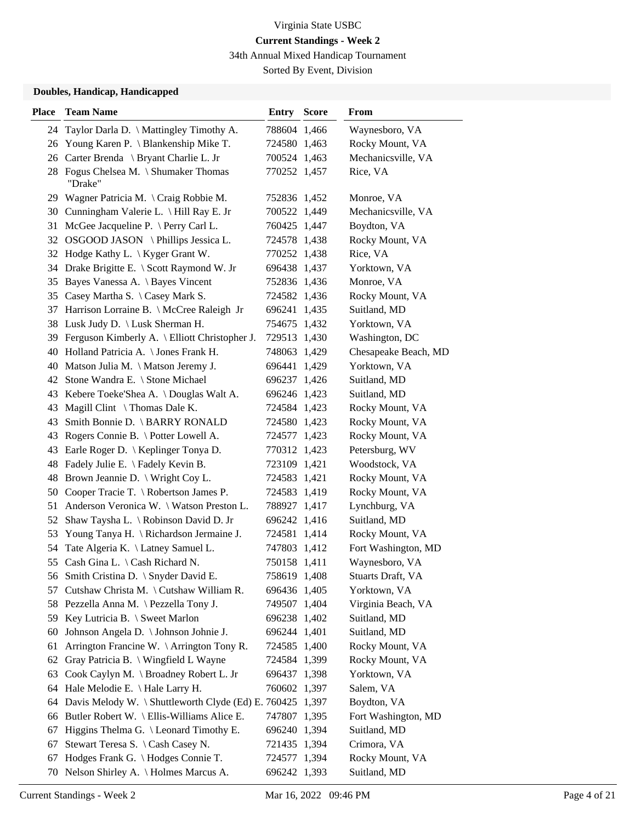34th Annual Mixed Handicap Tournament

Sorted By Event, Division

## **Doubles, Handicap, Handicapped**

| <b>Place</b> | <b>Team Name</b>                                          | <b>Entry Score</b> | From                 |
|--------------|-----------------------------------------------------------|--------------------|----------------------|
|              | 24 Taylor Darla D. \ Mattingley Timothy A.                | 788604 1,466       | Waynesboro, VA       |
| 26           | Young Karen P. \ Blankenship Mike T.                      | 724580 1,463       | Rocky Mount, VA      |
|              | 26 Carter Brenda \ Bryant Charlie L. Jr                   | 700524 1,463       | Mechanicsville, VA   |
|              | 28 Fogus Chelsea M. \ Shumaker Thomas<br>"Drake"          | 770252 1,457       | Rice, VA             |
|              | 29 Wagner Patricia M. \ Craig Robbie M.                   | 752836 1,452       | Monroe, VA           |
|              | 30 Cunningham Valerie L. \ Hill Ray E. Jr                 | 700522 1,449       | Mechanicsville, VA   |
| 31           | McGee Jacqueline P. $\Perry$ Carl L.                      | 760425 1,447       | Boydton, VA          |
|              | 32 OSGOOD JASON \Phillips Jessica L.                      | 724578 1,438       | Rocky Mount, VA      |
|              | 32 Hodge Kathy L. \ Kyger Grant W.                        | 770252 1,438       | Rice, VA             |
|              | 34 Drake Brigitte E. \ Scott Raymond W. Jr                | 696438 1,437       | Yorktown, VA         |
| 35           | Bayes Vanessa A. \ Bayes Vincent                          | 752836 1,436       | Monroe, VA           |
|              | 35 Casey Martha S. \ Casey Mark S.                        | 724582 1,436       | Rocky Mount, VA      |
| 37           | Harrison Lorraine B. \ McCree Raleigh Jr                  | 696241 1,435       | Suitland, MD         |
|              | 38 Lusk Judy D. \ Lusk Sherman H.                         | 754675 1,432       | Yorktown, VA         |
|              | 39 Ferguson Kimberly A. \ Elliott Christopher J.          | 729513 1,430       | Washington, DC       |
|              | 40 Holland Patricia A. \ Jones Frank H.                   | 748063 1,429       | Chesapeake Beach, MD |
| 40           | Matson Julia M. \ Matson Jeremy J.                        | 696441 1,429       | Yorktown, VA         |
|              | 42 Stone Wandra E. \ Stone Michael                        | 696237 1,426       | Suitland, MD         |
| 43           | Kebere Toeke'Shea A. \ Douglas Walt A.                    | 696246 1,423       | Suitland, MD         |
| 43           | Magill Clint $\setminus$ Thomas Dale K.                   | 724584 1,423       | Rocky Mount, VA      |
| 43           | Smith Bonnie D. \ BARRY RONALD                            | 724580 1,423       | Rocky Mount, VA      |
| 43           | Rogers Connie B. \ Potter Lowell A.                       | 724577 1,423       | Rocky Mount, VA      |
| 43           | Earle Roger D.   Keplinger Tonya D.                       | 770312 1,423       | Petersburg, WV       |
| 48           | Fadely Julie E. \ Fadely Kevin B.                         | 723109 1,421       | Woodstock, VA        |
| 48           | Brown Jeannie D. \ Wright Coy L.                          | 724583 1,421       | Rocky Mount, VA      |
| 50           | Cooper Tracie T. \ Robertson James P.                     | 724583 1,419       | Rocky Mount, VA      |
| 51           | Anderson Veronica W. \ Watson Preston L.                  | 788927 1,417       | Lynchburg, VA        |
| 52           | Shaw Taysha L. \ Robinson David D. Jr                     | 696242 1,416       | Suitland, MD         |
| 53           | Young Tanya H. \ Richardson Jermaine J.                   | 724581 1,414       | Rocky Mount, VA      |
| 54           | Tate Algeria K. \ Latney Samuel L.                        | 747803 1,412       | Fort Washington, MD  |
|              | 55 Cash Gina L. \ Cash Richard N.                         | 750158 1,411       | Waynesboro, VA       |
|              | 56 Smith Cristina D. \ Snyder David E.                    | 758619 1,408       | Stuarts Draft, VA    |
| 57           | Cutshaw Christa M. \ Cutshaw William R.                   | 696436 1,405       | Yorktown, VA         |
|              | 58 Pezzella Anna M. \ Pezzella Tony J.                    | 749507 1,404       | Virginia Beach, VA   |
|              | 59 Key Lutricia B. \ Sweet Marlon                         | 696238 1,402       | Suitland, MD         |
| 60           | Johnson Angela D. \ Johnson Johnie J.                     | 696244 1,401       | Suitland, MD         |
| 61           | Arrington Francine W. $\langle$ Arrington Tony R.         | 724585 1,400       | Rocky Mount, VA      |
| 62           | Gray Patricia B. \ Wingfield L Wayne                      | 724584 1,399       | Rocky Mount, VA      |
| 63           | Cook Caylyn M. \ Broadney Robert L. Jr                    | 696437 1,398       | Yorktown, VA         |
| 64           | Hale Melodie E. \ Hale Larry H.                           | 760602 1,397       | Salem, VA            |
| 64           | Davis Melody W. \ Shuttleworth Clyde (Ed) E. 760425 1,397 |                    | Boydton, VA          |
| 66           | Butler Robert W. \ Ellis-Williams Alice E.                | 747807 1,395       | Fort Washington, MD  |
| 67           | Higgins Thelma G. \ Leonard Timothy E.                    | 696240 1,394       | Suitland, MD         |
| 67           | Stewart Teresa S. \ Cash Casey N.                         | 721435 1,394       | Crimora, VA          |
| 67           | Hodges Frank G. \ Hodges Connie T.                        | 724577 1,394       | Rocky Mount, VA      |
| 70           | Nelson Shirley A. \ Holmes Marcus A.                      | 696242 1,393       | Suitland, MD         |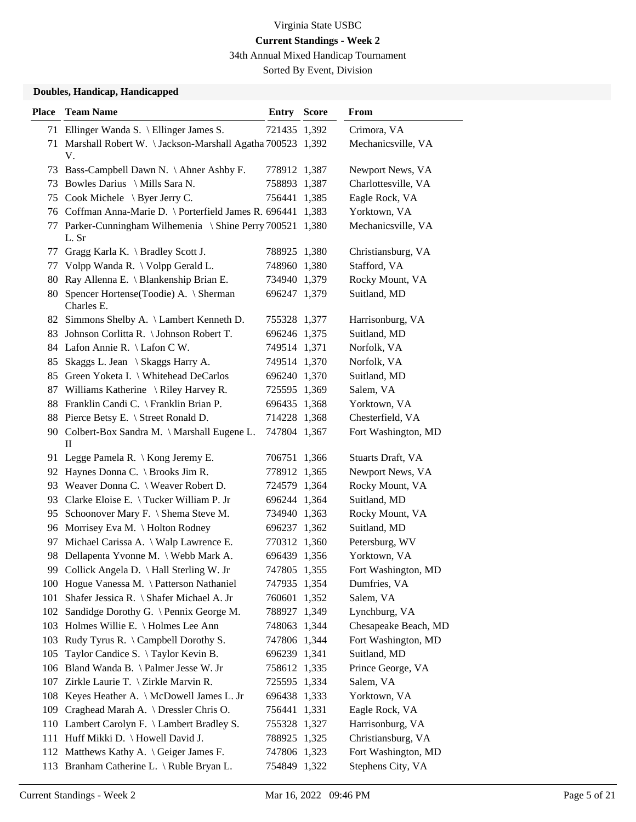34th Annual Mixed Handicap Tournament

Sorted By Event, Division

## **Doubles, Handicap, Handicapped**

| <b>Place</b> | <b>Team Name</b>                                                 | <b>Entry Score</b> | From                 |
|--------------|------------------------------------------------------------------|--------------------|----------------------|
|              | 71 Ellinger Wanda S. \ Ellinger James S.                         | 721435 1,392       | Crimora, VA          |
|              | 71 Marshall Robert W. \ Jackson-Marshall Agatha 700523 1,392     |                    | Mechanicsville, VA   |
|              | V.                                                               |                    |                      |
|              | 73 Bass-Campbell Dawn N. \Ahner Ashby F.                         | 778912 1,387       | Newport News, VA     |
| 73           | Bowles Darius \ Mills Sara N.                                    | 758893 1,387       | Charlottesville, VA  |
|              | 75 Cook Michele \ Byer Jerry C.                                  | 756441 1,385       | Eagle Rock, VA       |
|              | 76 Coffman Anna-Marie D. \ Porterfield James R. 696441 1,383     |                    | Yorktown, VA         |
| 77           | Parker-Cunningham Wilhemenia \ Shine Perry 700521 1,380<br>L. Sr |                    | Mechanicsville, VA   |
|              | 77 Gragg Karla K. \ Bradley Scott J.                             | 788925 1,380       | Christiansburg, VA   |
|              | 77 Volpp Wanda R. \ Volpp Gerald L.                              | 748960 1,380       | Stafford, VA         |
|              | 80 Ray Allenna E. \ Blankenship Brian E.                         | 734940 1,379       | Rocky Mount, VA      |
| 80           | Spencer Hortense (Toodie) A. \ Sherman<br>Charles E.             | 696247 1,379       | Suitland, MD         |
|              | 82 Simmons Shelby A. \ Lambert Kenneth D.                        | 755328 1,377       | Harrisonburg, VA     |
|              | 83 Johnson Corlitta R. \ Johnson Robert T.                       | 696246 1,375       | Suitland, MD         |
|              | 84 Lafon Annie R. \ Lafon C W.                                   | 749514 1,371       | Norfolk, VA          |
| 85           | Skaggs L. Jean \ Skaggs Harry A.                                 | 749514 1,370       | Norfolk, VA          |
|              | 85 Green Yoketa I. \ Whitehead DeCarlos                          | 696240 1,370       | Suitland, MD         |
|              | 87 Williams Katherine \ Riley Harvey R.                          | 725595 1,369       | Salem, VA            |
|              | 88 Franklin Candi C. \ Franklin Brian P.                         | 696435 1,368       | Yorktown, VA         |
|              | 88 Pierce Betsy E. \ Street Ronald D.                            | 714228 1,368       | Chesterfield, VA     |
|              | 90 Colbert-Box Sandra M. \ Marshall Eugene L.<br>$\mathbf{I}$    | 747804 1,367       | Fort Washington, MD  |
|              | 91 Legge Pamela R. \ Kong Jeremy E.                              | 706751 1,366       | Stuarts Draft, VA    |
|              | 92 Haynes Donna C. \ Brooks Jim R.                               | 778912 1,365       | Newport News, VA     |
|              | 93 Weaver Donna C. \ Weaver Robert D.                            | 724579 1,364       | Rocky Mount, VA      |
| 93           | Clarke Eloise E. \Tucker William P. Jr                           | 696244 1,364       | Suitland, MD         |
|              | 95 Schoonover Mary F. \ Shema Steve M.                           | 734940 1,363       | Rocky Mount, VA      |
|              | 96 Morrisey Eva M. \ Holton Rodney                               | 696237 1,362       | Suitland, MD         |
| 97           | Michael Carissa A. \ Walp Lawrence E.                            | 770312 1,360       | Petersburg, WV       |
|              | 98 Dellapenta Yvonne M. \ Webb Mark A.                           | 696439 1,356       | Yorktown, VA         |
|              | 99 Collick Angela D. \ Hall Sterling W. Jr                       | 747805 1,355       | Fort Washington, MD  |
|              | 100 Hogue Vanessa M. \Patterson Nathaniel                        | 747935 1,354       | Dumfries, VA         |
| 101          | Shafer Jessica R. \ Shafer Michael A. Jr                         | 760601 1,352       | Salem, VA            |
|              | 102 Sandidge Dorothy G. \ Pennix George M.                       | 788927 1,349       | Lynchburg, VA        |
|              | 103 Holmes Willie E. \ Holmes Lee Ann                            | 748063 1,344       | Chesapeake Beach, MD |
|              | 103 Rudy Tyrus R. \ Campbell Dorothy S.                          | 747806 1,344       | Fort Washington, MD  |
| 105          | Taylor Candice S. \Taylor Kevin B.                               | 696239 1,341       | Suitland, MD         |
|              | 106 Bland Wanda B. \ Palmer Jesse W. Jr                          | 758612 1,335       | Prince George, VA    |
|              | 107 Zirkle Laurie T. \ Zirkle Marvin R.                          | 725595 1,334       | Salem, VA            |
|              | 108 Keyes Heather A. \ McDowell James L. Jr                      | 696438 1,333       | Yorktown, VA         |
| 109          | Craghead Marah A. \ Dressler Chris O.                            | 756441 1,331       | Eagle Rock, VA       |
|              | 110 Lambert Carolyn F. \ Lambert Bradley S.                      | 755328 1,327       | Harrisonburg, VA     |
|              | 111 Huff Mikki D. \ Howell David J.                              | 788925 1,325       | Christiansburg, VA   |
|              | 112 Matthews Kathy A. \ Geiger James F.                          | 747806 1,323       | Fort Washington, MD  |
|              | 113 Branham Catherine L. \ Ruble Bryan L.                        | 754849 1,322       | Stephens City, VA    |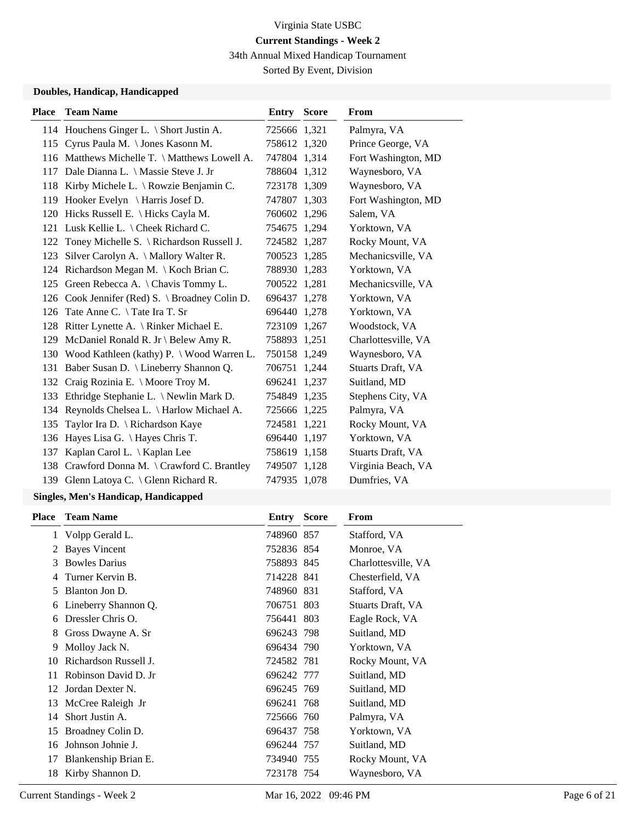34th Annual Mixed Handicap Tournament

Sorted By Event, Division

## **Doubles, Handicap, Handicapped**

| <b>Place</b> | <b>Team Name</b>                               | <b>Entry Score</b> | <b>From</b>         |
|--------------|------------------------------------------------|--------------------|---------------------|
|              | 114 Houchens Ginger L. \ Short Justin A.       | 725666 1,321       | Palmyra, VA         |
|              | 115 Cyrus Paula M. \Jones Kasonn M.            | 758612 1,320       | Prince George, VA   |
|              | 116 Matthews Michelle T. \ Matthews Lowell A.  | 747804 1.314       | Fort Washington, MD |
| 117          | Dale Dianna L. \ Massie Steve J. Jr            | 788604 1,312       | Waynesboro, VA      |
|              | 118 Kirby Michele L. \ Rowzie Benjamin C.      | 723178 1,309       | Waynesboro, VA      |
| 119          | Hooker Evelyn $\setminus$ Harris Josef D.      | 747807 1,303       | Fort Washington, MD |
|              | 120 Hicks Russell E. \ Hicks Cayla M.          | 760602 1,296       | Salem, VA           |
|              | 121 Lusk Kellie L. \ Cheek Richard C.          | 754675 1,294       | Yorktown, VA        |
| 122          | Toney Michelle S. \ Richardson Russell J.      | 724582 1,287       | Rocky Mount, VA     |
| 123          | Silver Carolyn A. \ Mallory Walter R.          | 700523 1,285       | Mechanicsville, VA  |
|              | 124 Richardson Megan M. \ Koch Brian C.        | 788930 1,283       | Yorktown, VA        |
|              | 125 Green Rebecca A. \Chavis Tommy L.          | 700522 1,281       | Mechanicsville, VA  |
|              | 126 Cook Jennifer (Red) S. \ Broadney Colin D. | 696437 1,278       | Yorktown, VA        |
| 126          | Tate Anne C. \ Tate Ira T. Sr                  | 696440 1,278       | Yorktown, VA        |
|              | 128 Ritter Lynette A. \ Rinker Michael E.      | 723109 1,267       | Woodstock, VA       |
| 129          | McDaniel Ronald R. Jr \ Belew Amy R.           | 758893 1,251       | Charlottesville, VA |
|              | 130 Wood Kathleen (kathy) P. \ Wood Warren L.  | 750158 1,249       | Waynesboro, VA      |
|              | 131 Baber Susan D. \ Lineberry Shannon Q.      | 706751 1,244       | Stuarts Draft, VA   |
| 132          | Craig Rozinia E. \ Moore Troy M.               | 696241 1,237       | Suitland, MD        |
| 133          | Ethridge Stephanie L. \ Newlin Mark D.         | 754849 1,235       | Stephens City, VA   |
|              | 134 Reynolds Chelsea L. \ Harlow Michael A.    | 725666 1,225       | Palmyra, VA         |
| 135          | Taylor Ira D. \ Richardson Kaye                | 724581 1,221       | Rocky Mount, VA     |
| 136          | Hayes Lisa G. \ Hayes Chris T.                 | 696440 1,197       | Yorktown, VA        |
| 137          | Kaplan Carol L.   Kaplan Lee                   | 758619 1,158       | Stuarts Draft, VA   |
| 138          | Crawford Donna M. \ Crawford C. Brantley       | 749507 1,128       | Virginia Beach, VA  |
|              | 139 Glenn Latoya C. \ Glenn Richard R.         | 747935 1,078       | Dumfries, VA        |

# **Singles, Men's Handicap, Handicapped**

| Place | <b>Team Name</b>      | Entry      | <b>Score</b> | From                |
|-------|-----------------------|------------|--------------|---------------------|
|       | 1 Volpp Gerald L.     | 748960 857 |              | Stafford, VA        |
| 2     | <b>Bayes Vincent</b>  | 752836 854 |              | Monroe, VA          |
| 3     | <b>Bowles Darius</b>  | 758893 845 |              | Charlottesville, VA |
|       | Turner Kervin B.      | 714228 841 |              | Chesterfield, VA    |
| 5     | Blanton Jon D.        | 748960 831 |              | Stafford, VA        |
| 6     | Lineberry Shannon Q.  | 706751 803 |              | Stuarts Draft, VA   |
| 6     | Dressler Chris O.     | 756441 803 |              | Eagle Rock, VA      |
| 8     | Gross Dwayne A. Sr    | 696243 798 |              | Suitland, MD        |
| 9     | Molloy Jack N.        | 696434 790 |              | Yorktown, VA        |
| 10    | Richardson Russell J. | 724582 781 |              | Rocky Mount, VA     |
| 11    | Robinson David D. Jr  | 696242 777 |              | Suitland, MD        |
| 12    | Jordan Dexter N.      | 696245 769 |              | Suitland, MD        |
| 13    | McCree Raleigh Jr     | 696241 768 |              | Suitland, MD        |
| 14    | Short Justin A.       | 725666 760 |              | Palmyra, VA         |
| 15    | Broadney Colin D.     | 696437 758 |              | Yorktown, VA        |
| 16    | Johnson Johnie J.     | 696244 757 |              | Suitland, MD        |
| 17    | Blankenship Brian E.  | 734940 755 |              | Rocky Mount, VA     |
| 18    | Kirby Shannon D.      | 723178 754 |              | Waynesboro, VA      |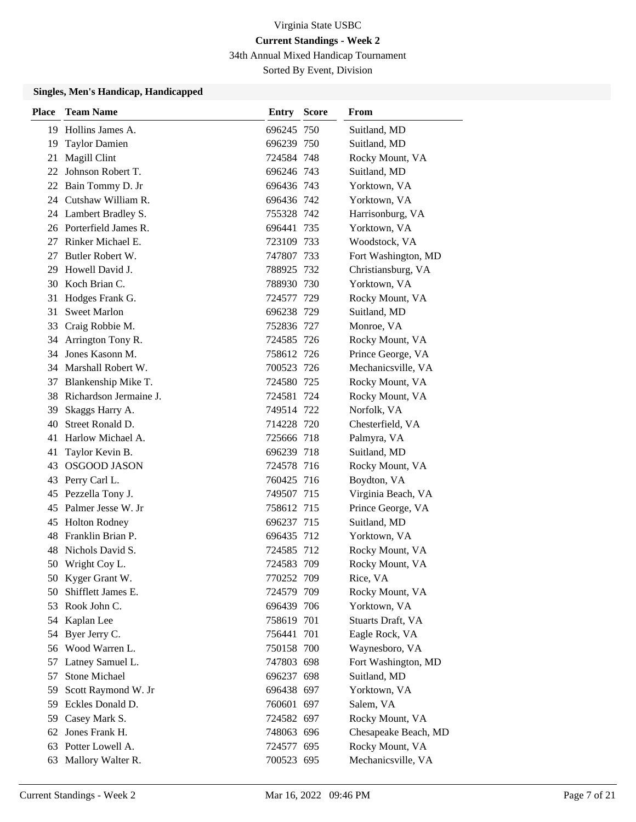34th Annual Mixed Handicap Tournament

Sorted By Event, Division

### **Singles, Men's Handicap, Handicapped**

| <b>Place</b> | <b>Team Name</b>          | <b>Entry Score</b> | From                 |
|--------------|---------------------------|--------------------|----------------------|
|              | 19 Hollins James A.       | 696245 750         | Suitland, MD         |
| 19           | <b>Taylor Damien</b>      | 696239 750         | Suitland, MD         |
| 21           | Magill Clint              | 724584 748         | Rocky Mount, VA      |
|              | 22 Johnson Robert T.      | 696246 743         | Suitland, MD         |
|              | 22 Bain Tommy D. Jr       | 696436 743         | Yorktown, VA         |
|              | 24 Cutshaw William R.     | 696436 742         | Yorktown, VA         |
|              | 24 Lambert Bradley S.     | 755328 742         | Harrisonburg, VA     |
|              | 26 Porterfield James R.   | 696441 735         | Yorktown, VA         |
| 27           | Rinker Michael E.         | 723109 733         | Woodstock, VA        |
| 27           | Butler Robert W.          | 747807 733         | Fort Washington, MD  |
| 29           | Howell David J.           | 788925 732         | Christiansburg, VA   |
|              | 30 Koch Brian C.          | 788930 730         | Yorktown, VA         |
| 31           | Hodges Frank G.           | 724577 729         | Rocky Mount, VA      |
| 31           | <b>Sweet Marlon</b>       | 696238 729         | Suitland, MD         |
| 33           | Craig Robbie M.           | 752836 727         | Monroe, VA           |
|              | 34 Arrington Tony R.      | 724585 726         | Rocky Mount, VA      |
| 34           | Jones Kasonn M.           | 758612 726         | Prince George, VA    |
|              | 34 Marshall Robert W.     | 700523 726         | Mechanicsville, VA   |
| 37           | Blankenship Mike T.       | 724580 725         | Rocky Mount, VA      |
|              | 38 Richardson Jermaine J. | 724581 724         | Rocky Mount, VA      |
| 39           | Skaggs Harry A.           | 749514 722         | Norfolk, VA          |
| 40           | Street Ronald D.          | 714228 720         | Chesterfield, VA     |
| 41           | Harlow Michael A.         | 725666 718         | Palmyra, VA          |
| 41           | Taylor Kevin B.           | 696239 718         | Suitland, MD         |
| 43           | <b>OSGOOD JASON</b>       | 724578 716         | Rocky Mount, VA      |
| 43           | Perry Carl L.             | 760425 716         | Boydton, VA          |
| 45           | Pezzella Tony J.          | 749507 715         | Virginia Beach, VA   |
| 45           | Palmer Jesse W. Jr        | 758612 715         | Prince George, VA    |
| 45           | <b>Holton Rodney</b>      | 696237 715         | Suitland, MD         |
| 48           | Franklin Brian P.         | 696435 712         | Yorktown, VA         |
| 48           | Nichols David S.          | 724585 712         | Rocky Mount, VA      |
|              | 50 Wright Coy L.          | 724583 709         | Rocky Mount, VA      |
|              | 50 Kyger Grant W.         | 770252 709         | Rice, VA             |
| 50.          | Shifflett James E.        | 724579 709         | Rocky Mount, VA      |
| 53           | Rook John C.              | 696439 706         | Yorktown, VA         |
|              | 54 Kaplan Lee             | 758619 701         | Stuarts Draft, VA    |
| 54           | Byer Jerry C.             | 756441 701         | Eagle Rock, VA       |
|              | 56 Wood Warren L.         | 750158 700         | Waynesboro, VA       |
| 57           | Latney Samuel L.          | 747803 698         | Fort Washington, MD  |
| 57           | Stone Michael             | 696237 698         | Suitland, MD         |
| 59           | Scott Raymond W. Jr       | 696438 697         | Yorktown, VA         |
| 59           | Eckles Donald D.          | 760601 697         | Salem, VA            |
| 59           | Casey Mark S.             | 724582 697         | Rocky Mount, VA      |
|              | 62 Jones Frank H.         | 748063 696         | Chesapeake Beach, MD |
| 63           | Potter Lowell A.          | 724577 695         | Rocky Mount, VA      |
|              | 63 Mallory Walter R.      | 700523 695         | Mechanicsville, VA   |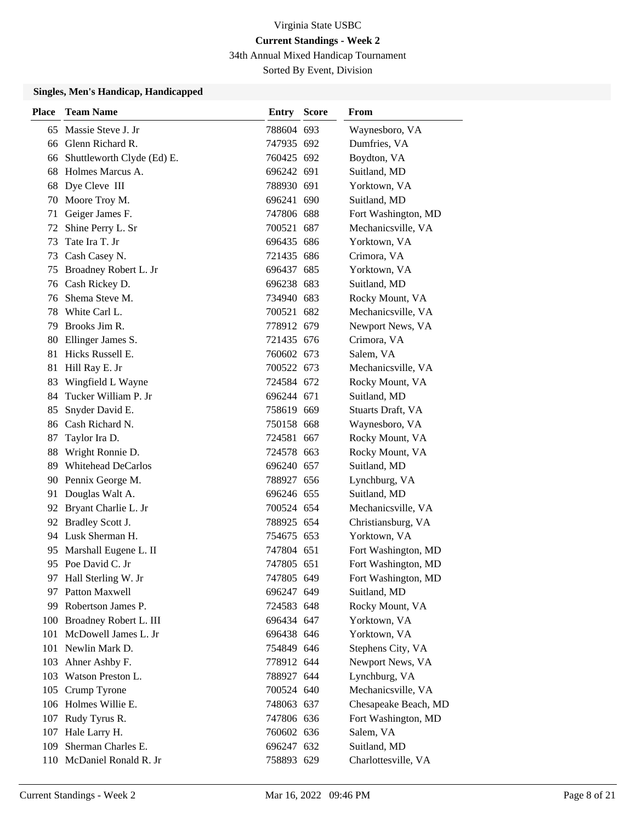34th Annual Mixed Handicap Tournament

Sorted By Event, Division

### **Singles, Men's Handicap, Handicapped**

| Place | <b>Team Name</b>              | Entry      | <b>Score</b> | From                 |
|-------|-------------------------------|------------|--------------|----------------------|
| 65    | Massie Steve J. Jr            | 788604 693 |              | Waynesboro, VA       |
|       | 66 Glenn Richard R.           | 747935 692 |              | Dumfries, VA         |
|       | 66 Shuttleworth Clyde (Ed) E. | 760425 692 |              | Boydton, VA          |
| 68    | Holmes Marcus A.              | 696242 691 |              | Suitland, MD         |
| 68    | Dye Cleve III                 | 788930 691 |              | Yorktown, VA         |
|       | 70 Moore Troy M.              | 696241 690 |              | Suitland, MD         |
| 71    | Geiger James F.               | 747806 688 |              | Fort Washington, MD  |
| 72    | Shine Perry L. Sr             | 700521 687 |              | Mechanicsville, VA   |
| 73    | Tate Ira T. Jr                | 696435 686 |              | Yorktown, VA         |
| 73    | Cash Casey N.                 | 721435 686 |              | Crimora, VA          |
| 75    | Broadney Robert L. Jr         | 696437 685 |              | Yorktown, VA         |
|       | 76 Cash Rickey D.             | 696238 683 |              | Suitland, MD         |
| 76    | Shema Steve M.                | 734940 683 |              | Rocky Mount, VA      |
|       | 78 White Carl L.              | 700521 682 |              | Mechanicsville, VA   |
|       | 79 Brooks Jim R.              | 778912 679 |              | Newport News, VA     |
|       | 80 Ellinger James S.          | 721435 676 |              | Crimora, VA          |
| 81    | Hicks Russell E.              | 760602 673 |              | Salem, VA            |
| 81    | Hill Ray E. Jr                | 700522 673 |              | Mechanicsville, VA   |
| 83    | Wingfield L Wayne             | 724584 672 |              | Rocky Mount, VA      |
| 84.   | Tucker William P. Jr          | 696244 671 |              | Suitland, MD         |
| 85    | Snyder David E.               | 758619 669 |              | Stuarts Draft, VA    |
| 86    | Cash Richard N.               | 750158 668 |              | Waynesboro, VA       |
| 87    | Taylor Ira D.                 | 724581 667 |              | Rocky Mount, VA      |
| 88    | Wright Ronnie D.              | 724578 663 |              | Rocky Mount, VA      |
| 89    | <b>Whitehead DeCarlos</b>     | 696240 657 |              | Suitland, MD         |
|       | 90 Pennix George M.           | 788927 656 |              | Lynchburg, VA        |
| 91    | Douglas Walt A.               | 696246 655 |              | Suitland, MD         |
|       | 92 Bryant Charlie L. Jr       | 700524 654 |              | Mechanicsville, VA   |
|       | 92 Bradley Scott J.           | 788925 654 |              | Christiansburg, VA   |
|       | 94 Lusk Sherman H.            | 754675 653 |              | Yorktown, VA         |
| 95    | Marshall Eugene L. II         | 747804 651 |              | Fort Washington, MD  |
|       | 95 Poe David C. Jr            | 747805 651 |              | Fort Washington, MD  |
|       | 97 Hall Sterling W. Jr        | 747805 649 |              | Fort Washington, MD  |
|       | 97 Patton Maxwell             | 696247 649 |              | Suitland, MD         |
|       | 99 Robertson James P.         | 724583 648 |              | Rocky Mount, VA      |
|       | 100 Broadney Robert L. III    | 696434 647 |              | Yorktown, VA         |
| 101   | McDowell James L. Jr          | 696438 646 |              | Yorktown, VA         |
|       | 101 Newlin Mark D.            | 754849 646 |              | Stephens City, VA    |
|       | 103 Ahner Ashby F.            | 778912 644 |              | Newport News, VA     |
| 103   | Watson Preston L.             | 788927 644 |              | Lynchburg, VA        |
|       | 105 Crump Tyrone              | 700524 640 |              | Mechanicsville, VA   |
|       | 106 Holmes Willie E.          | 748063 637 |              | Chesapeake Beach, MD |
|       | 107 Rudy Tyrus R.             | 747806 636 |              | Fort Washington, MD  |
|       | 107 Hale Larry H.             | 760602 636 |              | Salem, VA            |
| 109   | Sherman Charles E.            | 696247 632 |              | Suitland, MD         |
|       | 110 McDaniel Ronald R. Jr     | 758893 629 |              | Charlottesville, VA  |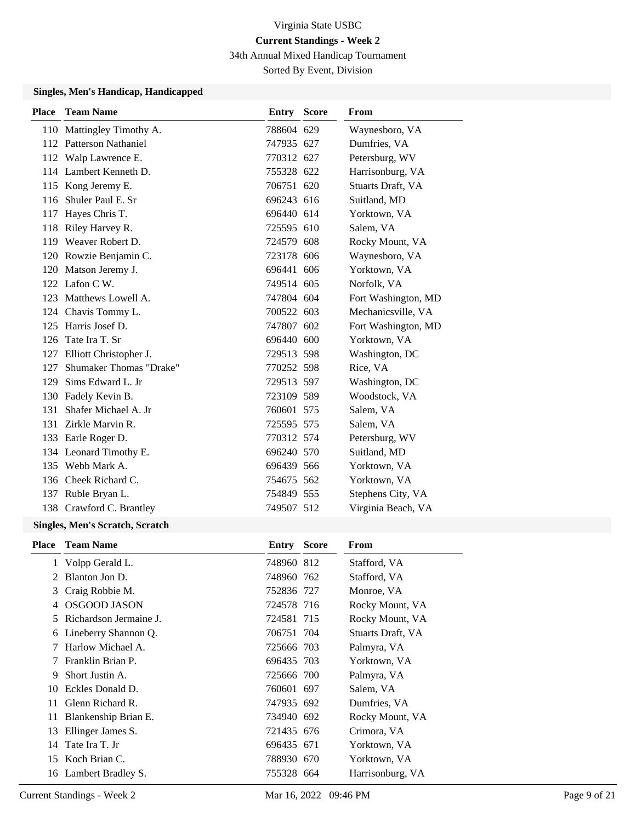34th Annual Mixed Handicap Tournament

Sorted By Event, Division

## **Singles, Men's Handicap, Handicapped**

| <b>Place</b> | <b>Team Name</b>                                                                                                                                                                                                                                                                                                                   | Entry Score | From                |
|--------------|------------------------------------------------------------------------------------------------------------------------------------------------------------------------------------------------------------------------------------------------------------------------------------------------------------------------------------|-------------|---------------------|
|              | 110 Mattingley Timothy A.                                                                                                                                                                                                                                                                                                          | 788604 629  | Waynesboro, VA      |
|              | 112 Patterson Nathaniel                                                                                                                                                                                                                                                                                                            | 747935 627  | Dumfries, VA        |
|              | 112 Walp Lawrence E.                                                                                                                                                                                                                                                                                                               | 770312 627  | Petersburg, WV      |
|              | 114 Lambert Kenneth D.                                                                                                                                                                                                                                                                                                             | 755328 622  | Harrisonburg, VA    |
|              | 115 Kong Jeremy E.                                                                                                                                                                                                                                                                                                                 | 706751 620  | Stuarts Draft, VA   |
| 116          | Shuler Paul E. Sr                                                                                                                                                                                                                                                                                                                  | 696243 616  | Suitland, MD        |
| 117          | Hayes Chris T.                                                                                                                                                                                                                                                                                                                     | 696440 614  | Yorktown, VA        |
| 118          | Riley Harvey R.                                                                                                                                                                                                                                                                                                                    | 725595 610  | Salem, VA           |
|              | 119 Weaver Robert D.                                                                                                                                                                                                                                                                                                               | 724579 608  | Rocky Mount, VA     |
|              | 120 Rowzie Benjamin C.                                                                                                                                                                                                                                                                                                             | 723178 606  | Waynesboro, VA      |
|              | 120 Matson Jeremy J.                                                                                                                                                                                                                                                                                                               | 696441 606  | Yorktown, VA        |
|              | 122 Lafon C W.                                                                                                                                                                                                                                                                                                                     | 749514 605  | Norfolk, VA         |
|              | 123 Matthews Lowell A.                                                                                                                                                                                                                                                                                                             | 747804 604  | Fort Washington, MD |
|              | 124 Chavis Tommy L.                                                                                                                                                                                                                                                                                                                | 700522 603  | Mechanicsville, VA  |
|              | 125 Harris Josef D.                                                                                                                                                                                                                                                                                                                | 747807 602  | Fort Washington, MD |
| 126          | Tate Ira T. Sr                                                                                                                                                                                                                                                                                                                     | 696440 600  | Yorktown, VA        |
| 127          | Elliott Christopher J.                                                                                                                                                                                                                                                                                                             | 729513 598  | Washington, DC      |
| 127          | <b>Shumaker Thomas "Drake"</b>                                                                                                                                                                                                                                                                                                     | 770252 598  | Rice, VA            |
| 129          | Sims Edward L. Jr                                                                                                                                                                                                                                                                                                                  | 729513 597  | Washington, DC      |
|              | 130 Fadely Kevin B.                                                                                                                                                                                                                                                                                                                | 723109 589  | Woodstock, VA       |
| 131          | Shafer Michael A. Jr                                                                                                                                                                                                                                                                                                               | 760601 575  | Salem, VA           |
| 131          | Zirkle Marvin R.                                                                                                                                                                                                                                                                                                                   | 725595 575  | Salem, VA           |
| 133          | Earle Roger D.                                                                                                                                                                                                                                                                                                                     | 770312 574  | Petersburg, WV      |
|              | 134 Leonard Timothy E.                                                                                                                                                                                                                                                                                                             | 696240 570  | Suitland, MD        |
|              | 135 Webb Mark A.                                                                                                                                                                                                                                                                                                                   | 696439 566  | Yorktown, VA        |
|              | 136 Cheek Richard C.                                                                                                                                                                                                                                                                                                               | 754675 562  | Yorktown, VA        |
|              | 137 Ruble Bryan L.                                                                                                                                                                                                                                                                                                                 | 754849 555  | Stephens City, VA   |
|              | 138 Crawford C. Brantley                                                                                                                                                                                                                                                                                                           | 749507 512  | Virginia Beach, VA  |
|              | $\mathbf{M}$ $\mathbf{M}$ $\mathbf{M}$ $\mathbf{M}$ $\mathbf{M}$ $\mathbf{M}$ $\mathbf{M}$ $\mathbf{M}$ $\mathbf{M}$ $\mathbf{M}$ $\mathbf{M}$ $\mathbf{M}$ $\mathbf{M}$ $\mathbf{M}$ $\mathbf{M}$ $\mathbf{M}$ $\mathbf{M}$ $\mathbf{M}$ $\mathbf{M}$ $\mathbf{M}$ $\mathbf{M}$ $\mathbf{M}$ $\mathbf{M}$ $\mathbf{M}$ $\mathbf{$ |             |                     |

## **Singles, Men's Scratch, Scratch**

|    | <b>Place</b> Team Name | <b>Entry Score</b> | From              |
|----|------------------------|--------------------|-------------------|
| 1  | Volpp Gerald L.        | 748960 812         | Stafford, VA      |
| 2  | Blanton Jon D.         | 748960 762         | Stafford, VA      |
| 3  | Craig Robbie M.        | 752836 727         | Monroe, VA        |
| 4  | <b>OSGOOD JASON</b>    | 724578 716         | Rocky Mount, VA   |
| 5  | Richardson Jermaine J. | 724581 715         | Rocky Mount, VA   |
| 6  | Lineberry Shannon Q.   | 706751 704         | Stuarts Draft, VA |
| 7  | Harlow Michael A.      | 725666 703         | Palmyra, VA       |
| 7  | Franklin Brian P.      | 696435 703         | Yorktown, VA      |
| 9  | Short Justin A.        | 725666 700         | Palmyra, VA       |
| 10 | Eckles Donald D.       | 760601 697         | Salem, VA         |
| 11 | Glenn Richard R.       | 747935 692         | Dumfries, VA      |
| 11 | Blankenship Brian E.   | 734940 692         | Rocky Mount, VA   |
| 13 | Ellinger James S.      | 721435 676         | Crimora, VA       |
|    | 14 Tate Ira T. Jr      | 696435 671         | Yorktown, VA      |
|    | 15 Koch Brian C.       | 788930 670         | Yorktown, VA      |
|    | 16 Lambert Bradley S.  | 755328 664         | Harrisonburg, VA  |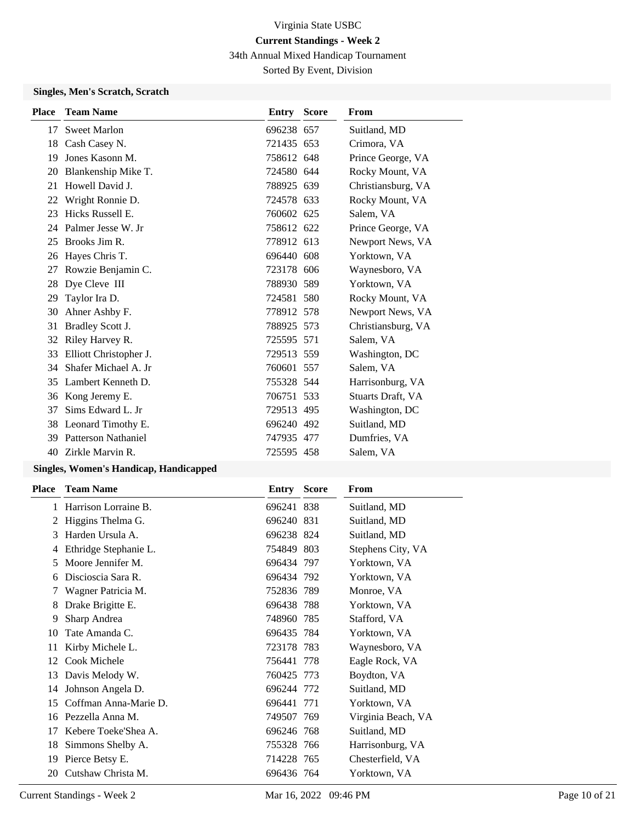34th Annual Mixed Handicap Tournament

Sorted By Event, Division

## **Singles, Men's Scratch, Scratch**

| <b>Place</b> | <b>Team Name</b>       | Entry      | <b>Score</b> | From               |
|--------------|------------------------|------------|--------------|--------------------|
| 17           | <b>Sweet Marlon</b>    | 696238 657 |              | Suitland, MD       |
| 18           | Cash Casey N.          | 721435 653 |              | Crimora, VA        |
| 19           | Jones Kasonn M.        | 758612 648 |              | Prince George, VA  |
| 20           | Blankenship Mike T.    | 724580 644 |              | Rocky Mount, VA    |
| 21           | Howell David J.        | 788925 639 |              | Christiansburg, VA |
| 22           | Wright Ronnie D.       | 724578 633 |              | Rocky Mount, VA    |
| 23           | Hicks Russell E.       | 760602 625 |              | Salem, VA          |
| 24           | Palmer Jesse W. Jr     | 758612 622 |              | Prince George, VA  |
| 25           | Brooks Jim R.          | 778912 613 |              | Newport News, VA   |
| 26           | Hayes Chris T.         | 696440 608 |              | Yorktown, VA       |
| 27           | Rowzie Benjamin C.     | 723178 606 |              | Waynesboro, VA     |
| 28           | Dye Cleve III          | 788930 589 |              | Yorktown, VA       |
| 29           | Taylor Ira D.          | 724581 580 |              | Rocky Mount, VA    |
| 30           | Ahner Ashby F.         | 778912 578 |              | Newport News, VA   |
| 31           | Bradley Scott J.       | 788925 573 |              | Christiansburg, VA |
| 32           | Riley Harvey R.        | 725595 571 |              | Salem, VA          |
| 33           | Elliott Christopher J. | 729513 559 |              | Washington, DC     |
| 34           | Shafer Michael A. Jr   | 760601 557 |              | Salem, VA          |
| 35           | Lambert Kenneth D.     | 755328 544 |              | Harrisonburg, VA   |
| 36           | Kong Jeremy E.         | 706751 533 |              | Stuarts Draft, VA  |
| 37           | Sims Edward L. Jr.     | 729513 495 |              | Washington, DC     |
| 38           | Leonard Timothy E.     | 696240 492 |              | Suitland, MD       |
| 39           | Patterson Nathaniel    | 747935 477 |              | Dumfries, VA       |
| 40           | Zirkle Marvin R.       | 725595 458 |              | Salem, VA          |
|              |                        |            |              |                    |

## **Singles, Women's Handicap, Handicapped**

| Place        | <b>Team Name</b>      | Entry      | <b>Score</b> | From               |
|--------------|-----------------------|------------|--------------|--------------------|
| $\mathbf{I}$ | Harrison Lorraine B.  | 696241 838 |              | Suitland, MD       |
| 2            | Higgins Thelma G.     | 696240 831 |              | Suitland, MD       |
| 3            | Harden Ursula A.      | 696238 824 |              | Suitland, MD       |
| 4            | Ethridge Stephanie L. | 754849 803 |              | Stephens City, VA  |
| 5            | Moore Jennifer M.     | 696434 797 |              | Yorktown, VA       |
| 6            | Discioscia Sara R.    | 696434 792 |              | Yorktown, VA       |
| 7            | Wagner Patricia M.    | 752836 789 |              | Monroe, VA         |
| 8            | Drake Brigitte E.     | 696438 788 |              | Yorktown, VA       |
| 9            | Sharp Andrea          | 748960 785 |              | Stafford, VA       |
| 10           | Tate Amanda C.        | 696435 784 |              | Yorktown, VA       |
| 11           | Kirby Michele L.      | 723178 783 |              | Waynesboro, VA     |
| 12           | Cook Michele          | 756441 778 |              | Eagle Rock, VA     |
| 13           | Davis Melody W.       | 760425 773 |              | Boydton, VA        |
| 14           | Johnson Angela D.     | 696244 772 |              | Suitland, MD       |
| 15           | Coffman Anna-Marie D. | 696441 771 |              | Yorktown, VA       |
| 16           | Pezzella Anna M.      | 749507 769 |              | Virginia Beach, VA |
| 17           | Kebere Toeke'Shea A.  | 696246 768 |              | Suitland, MD       |
| 18           | Simmons Shelby A.     | 755328 766 |              | Harrisonburg, VA   |
| 19           | Pierce Betsy E.       | 714228 765 |              | Chesterfield, VA   |
| 20           | Cutshaw Christa M.    | 696436 764 |              | Yorktown, VA       |
|              |                       |            |              |                    |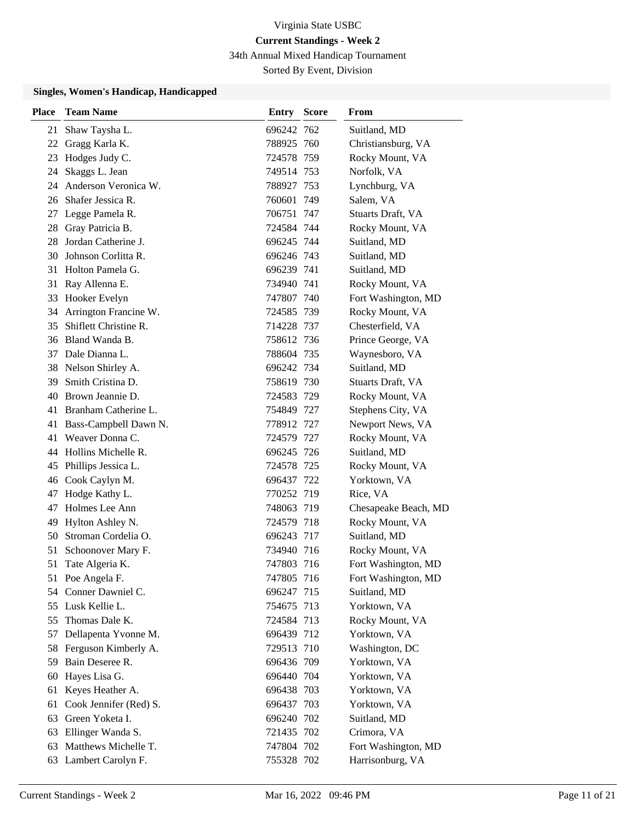34th Annual Mixed Handicap Tournament

Sorted By Event, Division

### **Singles, Women's Handicap, Handicapped**

| <b>Place</b> | <b>Team Name</b>       | Entry      | <b>Score</b> | From                 |
|--------------|------------------------|------------|--------------|----------------------|
| 21           | Shaw Taysha L.         | 696242 762 |              | Suitland, MD         |
| 22           | Gragg Karla K.         | 788925 760 |              | Christiansburg, VA   |
| 23           | Hodges Judy C.         | 724578 759 |              | Rocky Mount, VA      |
| 24           | Skaggs L. Jean         | 749514 753 |              | Norfolk, VA          |
| 24           | Anderson Veronica W.   | 788927 753 |              | Lynchburg, VA        |
| 26           | Shafer Jessica R.      | 760601 749 |              | Salem, VA            |
| 27           | Legge Pamela R.        | 706751 747 |              | Stuarts Draft, VA    |
| 28           | Gray Patricia B.       | 724584 744 |              | Rocky Mount, VA      |
| 28           | Jordan Catherine J.    | 696245 744 |              | Suitland, MD         |
| 30           | Johnson Corlitta R.    | 696246 743 |              | Suitland, MD         |
| 31           | Holton Pamela G.       | 696239 741 |              | Suitland, MD         |
| 31           | Ray Allenna E.         | 734940 741 |              | Rocky Mount, VA      |
| 33           | <b>Hooker Evelyn</b>   | 747807 740 |              | Fort Washington, MD  |
| 34           | Arrington Francine W.  | 724585 739 |              | Rocky Mount, VA      |
| 35           | Shiflett Christine R.  | 714228 737 |              | Chesterfield, VA     |
|              | 36 Bland Wanda B.      | 758612 736 |              | Prince George, VA    |
| 37           | Dale Dianna L.         | 788604 735 |              | Waynesboro, VA       |
| 38           | Nelson Shirley A.      | 696242 734 |              | Suitland, MD         |
| 39           | Smith Cristina D.      | 758619 730 |              | Stuarts Draft, VA    |
|              | 40 Brown Jeannie D.    | 724583 729 |              | Rocky Mount, VA      |
| 41           | Branham Catherine L.   | 754849 727 |              | Stephens City, VA    |
| 41           | Bass-Campbell Dawn N.  | 778912 727 |              | Newport News, VA     |
| 41           | Weaver Donna C.        | 724579 727 |              | Rocky Mount, VA      |
|              | 44 Hollins Michelle R. | 696245 726 |              | Suitland, MD         |
| 45           | Phillips Jessica L.    | 724578 725 |              | Rocky Mount, VA      |
| 46           | Cook Caylyn M.         | 696437 722 |              | Yorktown, VA         |
| 47           | Hodge Kathy L.         | 770252 719 |              | Rice, VA             |
| 47           | Holmes Lee Ann         | 748063 719 |              | Chesapeake Beach, MD |
| 49           | Hylton Ashley N.       | 724579 718 |              | Rocky Mount, VA      |
| 50           | Stroman Cordelia O.    | 696243 717 |              | Suitland, MD         |
| 51           | Schoonover Mary F.     | 734940 716 |              | Rocky Mount, VA      |
| 51           | Tate Algeria K.        | 747803 716 |              | Fort Washington, MD  |
|              | 51 Poe Angela F.       | 747805 716 |              | Fort Washington, MD  |
| 54           | Conner Dawniel C.      | 696247 715 |              | Suitland, MD         |
|              | 55 Lusk Kellie L.      | 754675 713 |              | Yorktown, VA         |
| 55           | Thomas Dale K.         | 724584 713 |              | Rocky Mount, VA      |
| 57           | Dellapenta Yvonne M.   | 696439 712 |              | Yorktown, VA         |
| 58           | Ferguson Kimberly A.   | 729513 710 |              | Washington, DC       |
|              | 59 Bain Deseree R.     | 696436 709 |              | Yorktown, VA         |
| 60           | Hayes Lisa G.          | 696440 704 |              | Yorktown, VA         |
| 61           | Keyes Heather A.       | 696438 703 |              | Yorktown, VA         |
| 61           | Cook Jennifer (Red) S. | 696437 703 |              | Yorktown, VA         |
| 63           | Green Yoketa I.        | 696240 702 |              | Suitland, MD         |
| 63           | Ellinger Wanda S.      | 721435 702 |              | Crimora, VA          |
| 63           | Matthews Michelle T.   | 747804 702 |              | Fort Washington, MD  |
|              | 63 Lambert Carolyn F.  | 755328 702 |              | Harrisonburg, VA     |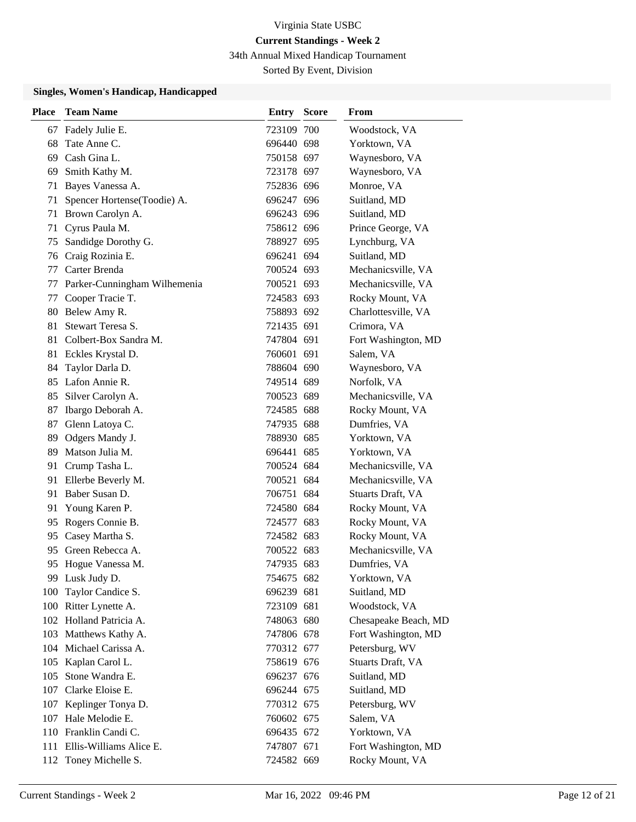34th Annual Mixed Handicap Tournament

Sorted By Event, Division

### **Singles, Women's Handicap, Handicapped**

| <b>Place</b> | <b>Team Name</b>             | <b>Entry Score</b> | From                 |
|--------------|------------------------------|--------------------|----------------------|
| 67           | Fadely Julie E.              | 723109 700         | Woodstock, VA        |
| 68           | Tate Anne C.                 | 696440 698         | Yorktown, VA         |
| 69           | Cash Gina L.                 | 750158 697         | Waynesboro, VA       |
| 69           | Smith Kathy M.               | 723178 697         | Waynesboro, VA       |
| 71           | Bayes Vanessa A.             | 752836 696         | Monroe, VA           |
| 71           | Spencer Hortense(Toodie) A.  | 696247 696         | Suitland, MD         |
| 71           | Brown Carolyn A.             | 696243 696         | Suitland, MD         |
| 71           | Cyrus Paula M.               | 758612 696         | Prince George, VA    |
| 75           | Sandidge Dorothy G.          | 788927 695         | Lynchburg, VA        |
| 76           | Craig Rozinia E.             | 696241 694         | Suitland, MD         |
| 77           | Carter Brenda                | 700524 693         | Mechanicsville, VA   |
| 77           | Parker-Cunningham Wilhemenia | 700521 693         | Mechanicsville, VA   |
| 77           | Cooper Tracie T.             | 724583 693         | Rocky Mount, VA      |
| 80           | Belew Amy R.                 | 758893 692         | Charlottesville, VA  |
| 81           | Stewart Teresa S.            | 721435 691         | Crimora, VA          |
|              | 81 Colbert-Box Sandra M.     | 747804 691         | Fort Washington, MD  |
| 81           | Eckles Krystal D.            | 760601 691         | Salem, VA            |
| 84           | Taylor Darla D.              | 788604 690         | Waynesboro, VA       |
|              | 85 Lafon Annie R.            | 749514 689         | Norfolk, VA          |
|              | 85 Silver Carolyn A.         | 700523 689         | Mechanicsville, VA   |
| 87           | Ibargo Deborah A.            | 724585 688         | Rocky Mount, VA      |
| 87           | Glenn Latoya C.              | 747935 688         | Dumfries, VA         |
| 89           | Odgers Mandy J.              | 788930 685         | Yorktown, VA         |
| 89           | Matson Julia M.              | 696441 685         | Yorktown, VA         |
| 91           | Crump Tasha L.               | 700524 684         | Mechanicsville, VA   |
| 91           | Ellerbe Beverly M.           | 700521 684         | Mechanicsville, VA   |
| 91           | Baber Susan D.               | 706751 684         | Stuarts Draft, VA    |
| 91           | Young Karen P.               | 724580 684         | Rocky Mount, VA      |
| 95           | Rogers Connie B.             | 724577 683         | Rocky Mount, VA      |
| 95           | Casey Martha S.              | 724582 683         | Rocky Mount, VA      |
| 95           | Green Rebecca A.             | 700522 683         | Mechanicsville, VA   |
|              | 95 Hogue Vanessa M.          | 747935 683         | Dumfries, VA         |
|              | 99 Lusk Judy D.              | 754675 682         | Yorktown, VA         |
| 100          | Taylor Candice S.            | 696239 681         | Suitland, MD         |
|              | 100 Ritter Lynette A.        | 723109 681         | Woodstock, VA        |
|              | 102 Holland Patricia A.      | 748063 680         | Chesapeake Beach, MD |
|              | 103 Matthews Kathy A.        | 747806 678         | Fort Washington, MD  |
|              | 104 Michael Carissa A.       | 770312 677         | Petersburg, WV       |
| 105          | Kaplan Carol L.              | 758619 676         | Stuarts Draft, VA    |
| 105          | Stone Wandra E.              | 696237 676         | Suitland, MD         |
|              | 107 Clarke Eloise E.         | 696244 675         | Suitland, MD         |
|              | 107 Keplinger Tonya D.       | 770312 675         | Petersburg, WV       |
|              | 107 Hale Melodie E.          | 760602 675         | Salem, VA            |
|              | 110 Franklin Candi C.        | 696435 672         | Yorktown, VA         |
|              | 111 Ellis-Williams Alice E.  | 747807 671         | Fort Washington, MD  |
|              | 112 Toney Michelle S.        | 724582 669         | Rocky Mount, VA      |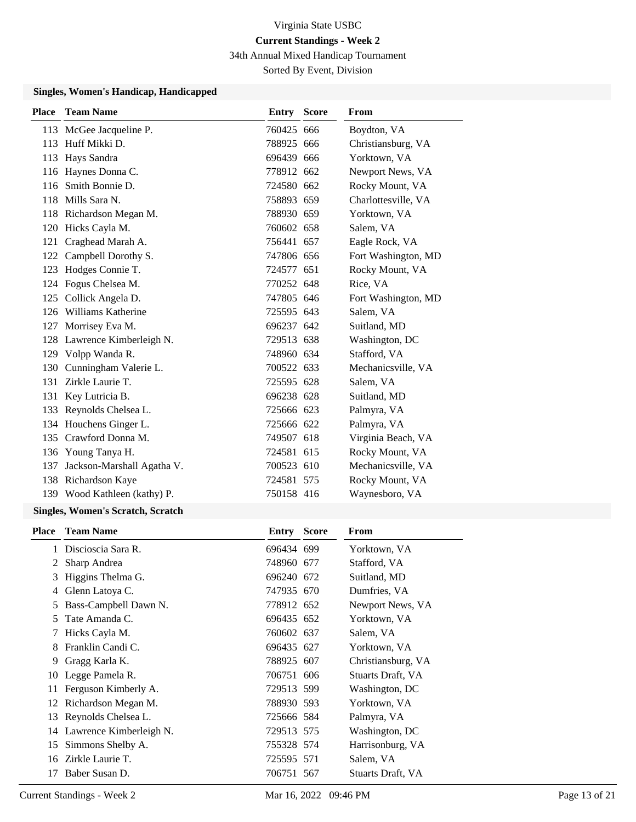34th Annual Mixed Handicap Tournament

Sorted By Event, Division

### **Singles, Women's Handicap, Handicapped**

| <b>Place</b> | <b>Team Name</b>             | <b>Entry Score</b> | <b>From</b>         |
|--------------|------------------------------|--------------------|---------------------|
|              | 113 McGee Jacqueline P.      | 760425 666         | Boydton, VA         |
|              | 113 Huff Mikki D.            | 788925 666         | Christiansburg, VA  |
| 113          | Hays Sandra                  | 696439 666         | Yorktown, VA        |
|              | 116 Haynes Donna C.          | 778912 662         | Newport News, VA    |
| 116          | Smith Bonnie D.              | 724580 662         | Rocky Mount, VA     |
| 118          | Mills Sara N.                | 758893 659         | Charlottesville, VA |
|              | 118 Richardson Megan M.      | 788930 659         | Yorktown, VA        |
|              | 120 Hicks Cayla M.           | 760602 658         | Salem, VA           |
| 121          | Craghead Marah A.            | 756441 657         | Eagle Rock, VA      |
| 122          | Campbell Dorothy S.          | 747806 656         | Fort Washington, MD |
| 123          | Hodges Connie T.             | 724577 651         | Rocky Mount, VA     |
|              | 124 Fogus Chelsea M.         | 770252 648         | Rice, VA            |
| 125          | Collick Angela D.            | 747805 646         | Fort Washington, MD |
| 126          | Williams Katherine           | 725595 643         | Salem, VA           |
| 127          | Morrisey Eva M.              | 696237 642         | Suitland, MD        |
| 128          | Lawrence Kimberleigh N.      | 729513 638         | Washington, DC      |
|              | 129 Volpp Wanda R.           | 748960 634         | Stafford, VA        |
| 130          | Cunningham Valerie L.        | 700522 633         | Mechanicsville, VA  |
| 131          | Zirkle Laurie T.             | 725595 628         | Salem, VA           |
| 131          | Key Lutricia B.              | 696238 628         | Suitland, MD        |
|              | 133 Reynolds Chelsea L.      | 725666 623         | Palmyra, VA         |
|              | 134 Houchens Ginger L.       | 725666 622         | Palmyra, VA         |
| 135          | Crawford Donna M.            | 749507 618         | Virginia Beach, VA  |
|              | 136 Young Tanya H.           | 724581 615         | Rocky Mount, VA     |
| 137          | Jackson-Marshall Agatha V.   | 700523 610         | Mechanicsville, VA  |
|              | 138 Richardson Kaye          | 724581 575         | Rocky Mount, VA     |
|              | 139 Wood Kathleen (kathy) P. | 750158 416         | Waynesboro, VA      |
|              |                              |                    |                     |

#### **Singles, Women's Scratch, Scratch**

|    | <b>Place</b> Team Name     | Entry      | <b>Score</b> | <b>From</b>              |
|----|----------------------------|------------|--------------|--------------------------|
| 1  | Discioscia Sara R.         | 696434 699 |              | Yorktown, VA             |
| 2  | Sharp Andrea               | 748960 677 |              | Stafford, VA             |
| 3  | Higgins Thelma G.          | 696240 672 |              | Suitland, MD             |
| 4  | Glenn Latoya C.            | 747935 670 |              | Dumfries, VA             |
| 5  | Bass-Campbell Dawn N.      | 778912 652 |              | Newport News, VA         |
| 5  | Tate Amanda C.             | 696435 652 |              | Yorktown, VA             |
| 7  | Hicks Cayla M.             | 760602 637 |              | Salem, VA                |
| 8  | Franklin Candi C.          | 696435 627 |              | Yorktown, VA             |
| 9  | Gragg Karla K.             | 788925 607 |              | Christiansburg, VA       |
|    | 10 Legge Pamela R.         | 706751 606 |              | Stuarts Draft, VA        |
| 11 | Ferguson Kimberly A.       | 729513 599 |              | Washington, DC           |
| 12 | Richardson Megan M.        | 788930 593 |              | Yorktown, VA             |
| 13 | Reynolds Chelsea L.        | 725666 584 |              | Palmyra, VA              |
|    | 14 Lawrence Kimberleigh N. | 729513 575 |              | Washington, DC           |
| 15 | Simmons Shelby A.          | 755328 574 |              | Harrisonburg, VA         |
|    | 16 Zirkle Laurie T.        | 725595 571 |              | Salem, VA                |
| 17 | Baber Susan D.             | 706751 567 |              | <b>Stuarts Draft, VA</b> |
|    |                            |            |              |                          |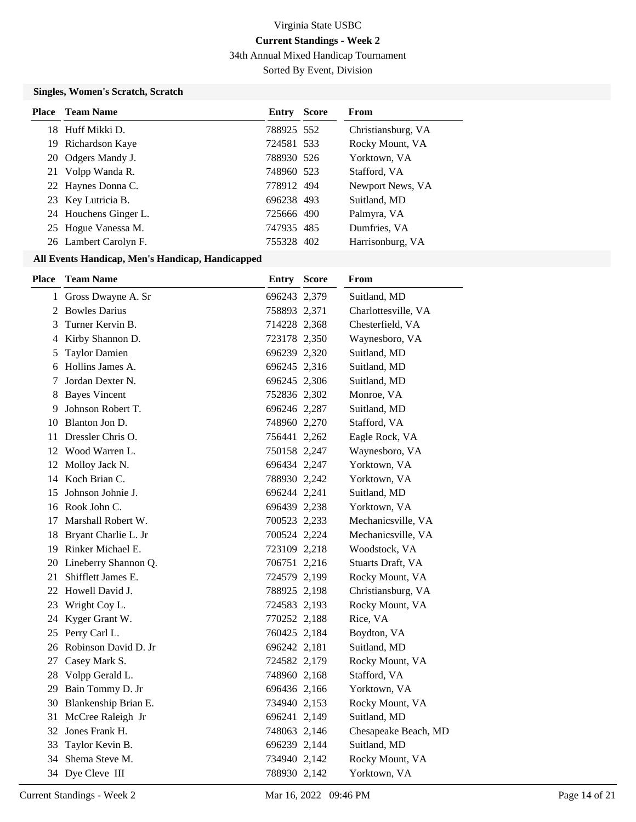34th Annual Mixed Handicap Tournament

Sorted By Event, Division

## **Singles, Women's Scratch, Scratch**

| <b>Place</b> Team Name | Entry      | <b>Score</b> | From               |
|------------------------|------------|--------------|--------------------|
| 18 Huff Mikki D.       | 788925 552 |              | Christiansburg, VA |
| 19 Richardson Kaye     | 724581 533 |              | Rocky Mount, VA    |
| 20 Odgers Mandy J.     | 788930 526 |              | Yorktown, VA       |
| 21 Volpp Wanda R.      | 748960 523 |              | Stafford, VA       |
| 22 Haynes Donna C.     | 778912 494 |              | Newport News, VA   |
| 23 Key Lutricia B.     | 696238 493 |              | Suitland, MD       |
| 24 Houchens Ginger L.  | 725666 490 |              | Palmyra, VA        |
| 25 Hogue Vanessa M.    | 747935 485 |              | Dumfries, VA       |
| 26 Lambert Carolyn F.  | 755328 402 |              | Harrisonburg, VA   |

## **All Events Handicap, Men's Handicap, Handicapped**

| Place | <b>Team Name</b>        | Entry        | <b>Score</b> | From                 |
|-------|-------------------------|--------------|--------------|----------------------|
|       | 1 Gross Dwayne A. Sr    | 696243 2,379 |              | Suitland, MD         |
| 2     | <b>Bowles Darius</b>    | 758893 2,371 |              | Charlottesville, VA  |
| 3     | Turner Kervin B.        | 714228 2,368 |              | Chesterfield, VA     |
| 4     | Kirby Shannon D.        | 723178 2,350 |              | Waynesboro, VA       |
| 5     | <b>Taylor Damien</b>    | 696239 2,320 |              | Suitland, MD         |
| 6     | Hollins James A.        | 696245 2,316 |              | Suitland, MD         |
| 7     | Jordan Dexter N.        | 696245 2,306 |              | Suitland, MD         |
| 8     | <b>Bayes Vincent</b>    | 752836 2,302 |              | Monroe, VA           |
| 9     | Johnson Robert T.       | 696246 2,287 |              | Suitland, MD         |
| 10    | Blanton Jon D.          | 748960 2,270 |              | Stafford, VA         |
| 11    | Dressler Chris O.       | 756441 2,262 |              | Eagle Rock, VA       |
| 12    | Wood Warren L.          | 750158 2,247 |              | Waynesboro, VA       |
| 12    | Molloy Jack N.          | 696434 2,247 |              | Yorktown, VA         |
| 14    | Koch Brian C.           | 788930 2,242 |              | Yorktown, VA         |
| 15    | Johnson Johnie J.       | 696244 2,241 |              | Suitland, MD         |
|       | 16 Rook John C.         | 696439 2,238 |              | Yorktown, VA         |
| 17    | Marshall Robert W.      | 700523 2,233 |              | Mechanicsville, VA   |
|       | 18 Bryant Charlie L. Jr | 700524 2,224 |              | Mechanicsville, VA   |
|       | 19 Rinker Michael E.    | 723109 2,218 |              | Woodstock, VA        |
|       | 20 Lineberry Shannon Q. | 706751 2,216 |              | Stuarts Draft, VA    |
| 21    | Shifflett James E.      | 724579 2,199 |              | Rocky Mount, VA      |
| 22    | Howell David J.         | 788925 2,198 |              | Christiansburg, VA   |
| 23    | Wright Coy L.           | 724583 2,193 |              | Rocky Mount, VA      |
| 24    | Kyger Grant W.          | 770252 2,188 |              | Rice, VA             |
| 25    | Perry Carl L.           | 760425 2,184 |              | Boydton, VA          |
| 26    | Robinson David D. Jr    | 696242 2,181 |              | Suitland, MD         |
| 27    | Casey Mark S.           | 724582 2,179 |              | Rocky Mount, VA      |
|       | 28 Volpp Gerald L.      | 748960 2,168 |              | Stafford, VA         |
|       | 29 Bain Tommy D. Jr     | 696436 2,166 |              | Yorktown, VA         |
|       | 30 Blankenship Brian E. | 734940 2,153 |              | Rocky Mount, VA      |
| 31    | McCree Raleigh Jr       | 696241 2,149 |              | Suitland, MD         |
| 32    | Jones Frank H.          | 748063 2,146 |              | Chesapeake Beach, MD |
| 33    | Taylor Kevin B.         | 696239 2,144 |              | Suitland, MD         |
| 34    | Shema Steve M.          | 734940 2,142 |              | Rocky Mount, VA      |
|       | 34 Dye Cleve III        | 788930 2,142 |              | Yorktown, VA         |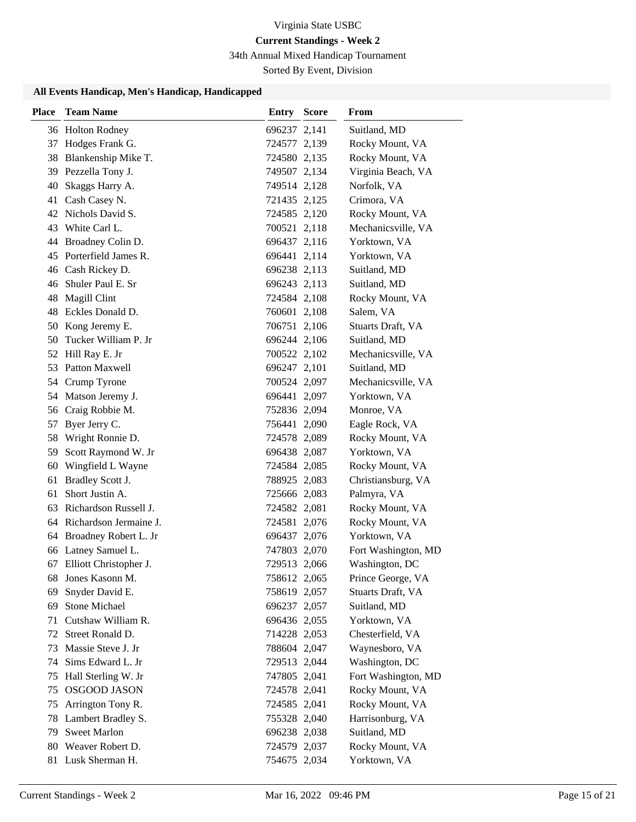# **Current Standings - Week 2**

34th Annual Mixed Handicap Tournament

Sorted By Event, Division

## **All Events Handicap, Men's Handicap, Handicapped**

| <b>Place</b> | <b>Team Name</b>                    | <b>Entry Score</b>           | From                               |
|--------------|-------------------------------------|------------------------------|------------------------------------|
|              | 36 Holton Rodney                    | 696237 2,141                 | Suitland, MD                       |
|              | 37 Hodges Frank G.                  | 724577 2,139                 | Rocky Mount, VA                    |
|              | 38 Blankenship Mike T.              | 724580 2,135                 | Rocky Mount, VA                    |
|              | 39 Pezzella Tony J.                 | 749507 2,134                 | Virginia Beach, VA                 |
| 40           | Skaggs Harry A.                     | 749514 2,128                 | Norfolk, VA                        |
| 41           | Cash Casey N.                       | 721435 2,125                 | Crimora, VA                        |
|              | 42 Nichols David S.                 | 724585 2,120                 | Rocky Mount, VA                    |
| 43           | White Carl L.                       | 700521 2,118                 | Mechanicsville, VA                 |
| 44           | Broadney Colin D.                   | 696437 2,116                 | Yorktown, VA                       |
| 45           | Porterfield James R.                | 696441 2,114                 | Yorktown, VA                       |
|              | 46 Cash Rickey D.                   | 696238 2,113                 | Suitland, MD                       |
| 46           | Shuler Paul E. Sr                   | 696243 2,113                 | Suitland, MD                       |
| 48           | Magill Clint                        | 724584 2,108                 | Rocky Mount, VA                    |
|              | 48 Eckles Donald D.                 | 760601 2,108                 | Salem, VA                          |
|              | 50 Kong Jeremy E.                   | 706751 2,106                 | Stuarts Draft, VA                  |
| 50           | Tucker William P. Jr                | 696244 2,106                 | Suitland, MD                       |
| 52           | Hill Ray E. Jr                      | 700522 2,102                 | Mechanicsville, VA                 |
| 53           | Patton Maxwell                      | 696247 2,101                 | Suitland, MD                       |
|              | 54 Crump Tyrone                     | 700524 2,097                 | Mechanicsville, VA                 |
|              | 54 Matson Jeremy J.                 | 696441 2,097                 | Yorktown, VA                       |
| 56           | Craig Robbie M.                     | 752836 2,094                 | Monroe, VA                         |
| 57           | Byer Jerry C.                       | 756441 2,090                 | Eagle Rock, VA                     |
| 58           | Wright Ronnie D.                    | 724578 2,089                 | Rocky Mount, VA                    |
| 59           | Scott Raymond W. Jr                 | 696438 2,087                 | Yorktown, VA                       |
| 60           | Wingfield L Wayne                   | 724584 2,085                 | Rocky Mount, VA                    |
| 61           | Bradley Scott J.                    | 788925 2,083                 | Christiansburg, VA                 |
| 61           | Short Justin A.                     | 725666 2,083                 | Palmyra, VA                        |
| 63           | Richardson Russell J.               | 724582 2,081                 | Rocky Mount, VA                    |
|              | 64 Richardson Jermaine J.           | 724581 2,076                 | Rocky Mount, VA                    |
|              | 64 Broadney Robert L. Jr            | 696437 2,076                 | Yorktown, VA                       |
|              | 66 Latney Samuel L.                 | 747803 2,070                 | Fort Washington, MD                |
|              | 67 Elliott Christopher J.           | 729513 2,066                 | Washington, DC                     |
| 68           | Jones Kasonn M.                     | 758612 2,065                 | Prince George, VA                  |
| 69           | Snyder David E.                     | 758619 2,057                 | Stuarts Draft, VA                  |
| 69           | Stone Michael<br>Cutshaw William R. | 696237 2,057                 | Suitland, MD                       |
| 71<br>72     | Street Ronald D.                    | 696436 2,055                 | Yorktown, VA                       |
| 73           | Massie Steve J. Jr                  | 714228 2,053<br>788604 2,047 | Chesterfield, VA<br>Waynesboro, VA |
| 74           | Sims Edward L. Jr                   | 729513 2,044                 | Washington, DC                     |
| 75           | Hall Sterling W. Jr                 | 747805 2,041                 | Fort Washington, MD                |
| 75           | <b>OSGOOD JASON</b>                 | 724578 2,041                 | Rocky Mount, VA                    |
| 75           | Arrington Tony R.                   | 724585 2,041                 | Rocky Mount, VA                    |
| 78           | Lambert Bradley S.                  | 755328 2,040                 | Harrisonburg, VA                   |
| 79           | <b>Sweet Marlon</b>                 | 696238 2,038                 | Suitland, MD                       |
| 80           | Weaver Robert D.                    | 724579 2,037                 | Rocky Mount, VA                    |
|              | 81 Lusk Sherman H.                  | 754675 2,034                 | Yorktown, VA                       |
|              |                                     |                              |                                    |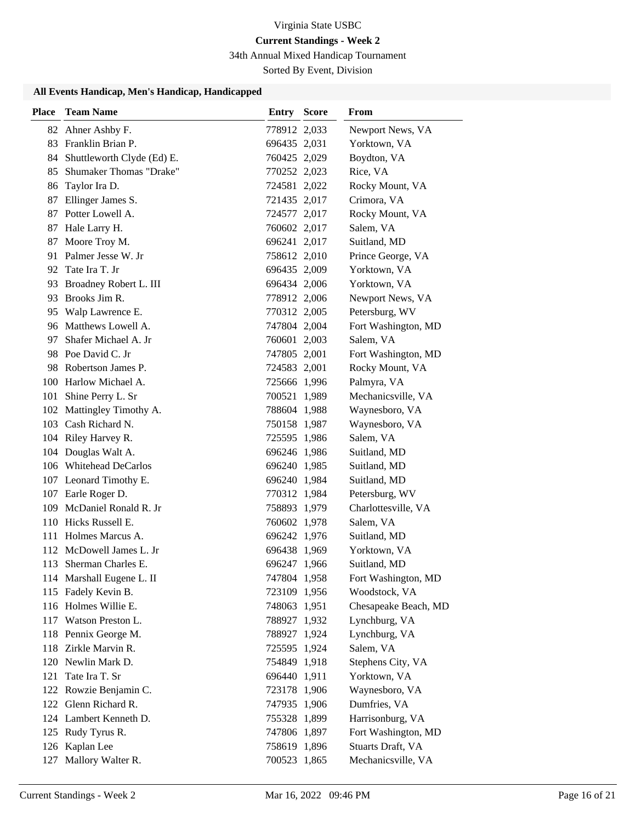# **Current Standings - Week 2**

34th Annual Mixed Handicap Tournament

Sorted By Event, Division

# **All Events Handicap, Men's Handicap, Handicapped**

| <b>Place</b> | <b>Team Name</b>              | <b>Entry Score</b> | From                 |
|--------------|-------------------------------|--------------------|----------------------|
|              | 82 Ahner Ashby F.             | 778912 2,033       | Newport News, VA     |
|              | 83 Franklin Brian P.          | 696435 2,031       | Yorktown, VA         |
|              | 84 Shuttleworth Clyde (Ed) E. | 760425 2,029       | Boydton, VA          |
| 85           | Shumaker Thomas "Drake"       | 770252 2,023       | Rice, VA             |
| 86           | Taylor Ira D.                 | 724581 2,022       | Rocky Mount, VA      |
| 87           | Ellinger James S.             | 721435 2,017       | Crimora, VA          |
| 87           | Potter Lowell A.              | 724577 2,017       | Rocky Mount, VA      |
| 87           | Hale Larry H.                 | 760602 2,017       | Salem, VA            |
| 87           | Moore Troy M.                 | 696241 2,017       | Suitland, MD         |
| 91           | Palmer Jesse W. Jr            | 758612 2,010       | Prince George, VA    |
|              | 92 Tate Ira T. Jr             | 696435 2,009       | Yorktown, VA         |
|              | 93 Broadney Robert L. III     | 696434 2,006       | Yorktown, VA         |
| 93           | Brooks Jim R.                 | 778912 2,006       | Newport News, VA     |
| 95           | Walp Lawrence E.              | 770312 2,005       | Petersburg, WV       |
|              | 96 Matthews Lowell A.         | 747804 2,004       | Fort Washington, MD  |
| 97           | Shafer Michael A. Jr          | 760601 2,003       | Salem, VA            |
|              | 98 Poe David C. Jr            | 747805 2,001       | Fort Washington, MD  |
|              | 98 Robertson James P.         | 724583 2,001       | Rocky Mount, VA      |
|              | 100 Harlow Michael A.         | 725666 1,996       | Palmyra, VA          |
|              | 101 Shine Perry L. Sr         | 700521 1,989       | Mechanicsville, VA   |
| 102          | Mattingley Timothy A.         | 788604 1,988       | Waynesboro, VA       |
|              | 103 Cash Richard N.           | 750158 1,987       | Waynesboro, VA       |
|              | 104 Riley Harvey R.           | 725595 1,986       | Salem, VA            |
|              | 104 Douglas Walt A.           | 696246 1,986       | Suitland, MD         |
|              | 106 Whitehead DeCarlos        | 696240 1,985       | Suitland, MD         |
|              | 107 Leonard Timothy E.        | 696240 1,984       | Suitland, MD         |
|              | 107 Earle Roger D.            | 770312 1,984       | Petersburg, WV       |
|              | 109 McDaniel Ronald R. Jr     | 758893 1,979       | Charlottesville, VA  |
|              | 110 Hicks Russell E.          | 760602 1,978       | Salem, VA            |
|              | 111 Holmes Marcus A.          | 696242 1,976       | Suitland, MD         |
| 112          | McDowell James L. Jr          | 696438 1,969       | Yorktown, VA         |
| 113          | Sherman Charles E.            | 696247 1,966       | Suitland, MD         |
|              | 114 Marshall Eugene L. II     | 747804 1,958       | Fort Washington, MD  |
|              | 115 Fadely Kevin B.           | 723109 1,956       | Woodstock, VA        |
|              | 116 Holmes Willie E.          | 748063 1,951       | Chesapeake Beach, MD |
|              | 117 Watson Preston L.         | 788927 1,932       | Lynchburg, VA        |
|              | 118 Pennix George M.          | 788927 1,924       | Lynchburg, VA        |
|              | 118 Zirkle Marvin R.          | 725595 1,924       | Salem, VA            |
| 120          | Newlin Mark D.                | 754849 1,918       | Stephens City, VA    |
| 121          | Tate Ira T. Sr                | 696440 1,911       | Yorktown, VA         |
|              | 122 Rowzie Benjamin C.        | 723178 1,906       | Waynesboro, VA       |
|              | 122 Glenn Richard R.          | 747935 1,906       | Dumfries, VA         |
|              | 124 Lambert Kenneth D.        | 755328 1,899       | Harrisonburg, VA     |
|              | 125 Rudy Tyrus R.             | 747806 1,897       | Fort Washington, MD  |
|              | 126 Kaplan Lee                | 758619 1,896       | Stuarts Draft, VA    |
| 127          | Mallory Walter R.             | 700523 1,865       | Mechanicsville, VA   |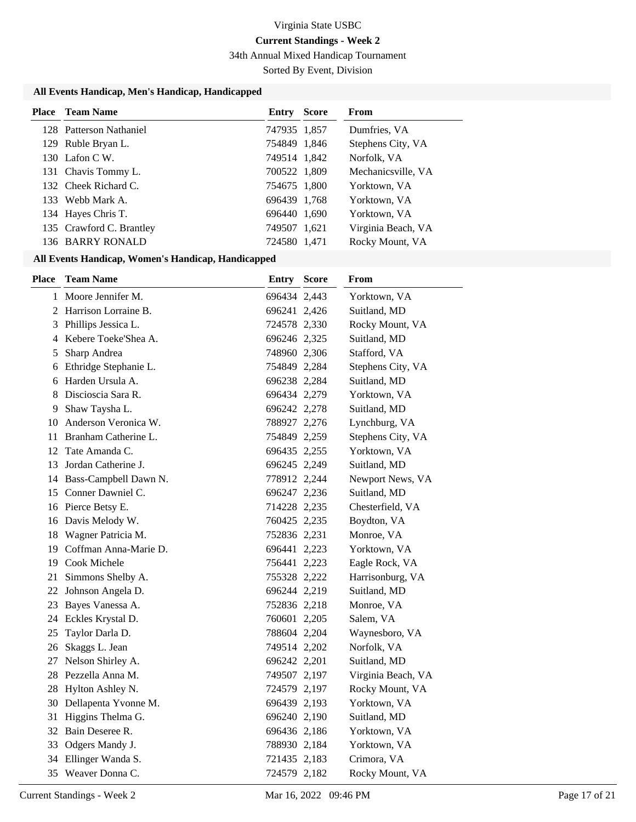# **Current Standings - Week 2**

34th Annual Mixed Handicap Tournament

Sorted By Event, Division

## **All Events Handicap, Men's Handicap, Handicapped**

| <b>Place</b> Team Name   | Entry        | <b>Score</b> | From               |
|--------------------------|--------------|--------------|--------------------|
| 128 Patterson Nathaniel  | 747935 1,857 |              | Dumfries, VA       |
| 129 Ruble Bryan L.       | 754849 1,846 |              | Stephens City, VA  |
| 130 Lafon C.W.           | 749514 1,842 |              | Norfolk, VA        |
| 131 Chavis Tommy L.      | 700522 1,809 |              | Mechanicsville, VA |
| 132 Cheek Richard C.     | 754675 1,800 |              | Yorktown, VA       |
| 133 Webb Mark A.         | 696439 1,768 |              | Yorktown, VA       |
| 134 Hayes Chris T.       | 696440 1,690 |              | Yorktown, VA       |
| 135 Crawford C. Brantley | 749507 1,621 |              | Virginia Beach, VA |
| 136 BARRY RONALD         | 724580 1,471 |              | Rocky Mount, VA    |

## **All Events Handicap, Women's Handicap, Handicapped**

| <b>Place</b> | <b>Team Name</b>        | <b>Entry Score</b> | From               |
|--------------|-------------------------|--------------------|--------------------|
|              | 1 Moore Jennifer M.     | 696434 2,443       | Yorktown, VA       |
| 2            | Harrison Lorraine B.    | 696241 2,426       | Suitland, MD       |
| 3            | Phillips Jessica L.     | 724578 2,330       | Rocky Mount, VA    |
|              | 4 Kebere Toeke'Shea A.  | 696246 2,325       | Suitland, MD       |
| 5            | Sharp Andrea            | 748960 2,306       | Stafford, VA       |
| 6            | Ethridge Stephanie L.   | 754849 2,284       | Stephens City, VA  |
| 6            | Harden Ursula A.        | 696238 2,284       | Suitland, MD       |
| 8            | Discioscia Sara R.      | 696434 2,279       | Yorktown, VA       |
| 9            | Shaw Taysha L.          | 696242 2,278       | Suitland, MD       |
| 10           | Anderson Veronica W.    | 788927 2,276       | Lynchburg, VA      |
| 11           | Branham Catherine L.    | 754849 2,259       | Stephens City, VA  |
| 12           | Tate Amanda C.          | 696435 2,255       | Yorktown, VA       |
| 13           | Jordan Catherine J.     | 696245 2,249       | Suitland, MD       |
| 14           | Bass-Campbell Dawn N.   | 778912 2,244       | Newport News, VA   |
| 15           | Conner Dawniel C.       | 696247 2,236       | Suitland, MD       |
|              | 16 Pierce Betsy E.      | 714228 2,235       | Chesterfield, VA   |
| 16           | Davis Melody W.         | 760425 2,235       | Boydton, VA        |
| 18           | Wagner Patricia M.      | 752836 2,231       | Monroe, VA         |
| 19           | Coffman Anna-Marie D.   | 696441 2,223       | Yorktown, VA       |
| 19           | Cook Michele            | 756441 2,223       | Eagle Rock, VA     |
| 21           | Simmons Shelby A.       | 755328 2,222       | Harrisonburg, VA   |
| 22           | Johnson Angela D.       | 696244 2,219       | Suitland, MD       |
| 23           | Bayes Vanessa A.        | 752836 2,218       | Monroe, VA         |
| 24           | Eckles Krystal D.       | 760601 2,205       | Salem, VA          |
| 25           | Taylor Darla D.         | 788604 2,204       | Waynesboro, VA     |
| 26           | Skaggs L. Jean          | 749514 2,202       | Norfolk, VA        |
| 27           | Nelson Shirley A.       | 696242 2,201       | Suitland, MD       |
|              | 28 Pezzella Anna M.     | 749507 2,197       | Virginia Beach, VA |
|              | 28 Hylton Ashley N.     | 724579 2,197       | Rocky Mount, VA    |
|              | 30 Dellapenta Yvonne M. | 696439 2,193       | Yorktown, VA       |
| 31           | Higgins Thelma G.       | 696240 2,190       | Suitland, MD       |
|              | 32 Bain Deseree R.      | 696436 2,186       | Yorktown, VA       |
| 33           | Odgers Mandy J.         | 788930 2,184       | Yorktown, VA       |
|              | 34 Ellinger Wanda S.    | 721435 2,183       | Crimora, VA        |
|              | 35 Weaver Donna C.      | 724579 2,182       | Rocky Mount, VA    |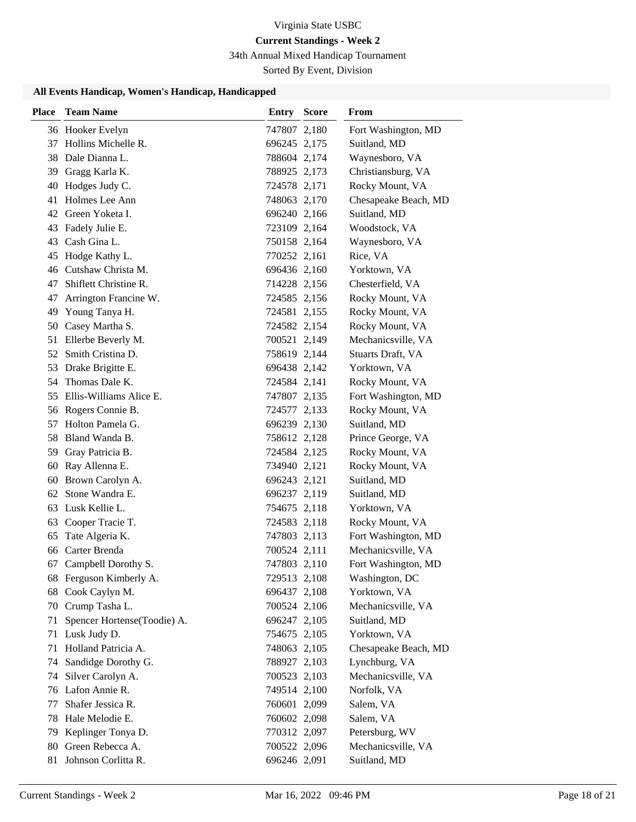# **Current Standings - Week 2**

34th Annual Mixed Handicap Tournament

Sorted By Event, Division

## **All Events Handicap, Women's Handicap, Handicapped**

| <b>Place</b> | <b>Team Name</b>            | Entry        | <b>Score</b> | From                 |
|--------------|-----------------------------|--------------|--------------|----------------------|
|              | 36 Hooker Evelyn            | 747807 2,180 |              | Fort Washington, MD  |
| 37           | Hollins Michelle R.         | 696245 2,175 |              | Suitland, MD         |
|              | 38 Dale Dianna L.           | 788604 2,174 |              | Waynesboro, VA       |
|              | 39 Gragg Karla K.           | 788925 2,173 |              | Christiansburg, VA   |
|              | 40 Hodges Judy C.           | 724578 2,171 |              | Rocky Mount, VA      |
|              | 41 Holmes Lee Ann           | 748063 2,170 |              | Chesapeake Beach, MD |
|              | 42 Green Yoketa I.          | 696240 2,166 |              | Suitland, MD         |
| 43           | Fadely Julie E.             | 723109 2,164 |              | Woodstock, VA        |
| 43           | Cash Gina L.                | 750158 2,164 |              | Waynesboro, VA       |
| 45           | Hodge Kathy L.              | 770252 2,161 |              | Rice, VA             |
|              | 46 Cutshaw Christa M.       | 696436 2,160 |              | Yorktown, VA         |
| 47           | Shiflett Christine R.       | 714228 2,156 |              | Chesterfield, VA     |
| 47           | Arrington Francine W.       | 724585 2,156 |              | Rocky Mount, VA      |
| 49           | Young Tanya H.              | 724581 2,155 |              | Rocky Mount, VA      |
|              | 50 Casey Martha S.          | 724582 2,154 |              | Rocky Mount, VA      |
| 51           | Ellerbe Beverly M.          | 700521 2,149 |              | Mechanicsville, VA   |
| 52           | Smith Cristina D.           | 758619 2,144 |              | Stuarts Draft, VA    |
| 53           | Drake Brigitte E.           | 696438 2,142 |              | Yorktown, VA         |
|              | 54 Thomas Dale K.           | 724584 2,141 |              | Rocky Mount, VA      |
|              | 55 Ellis-Williams Alice E.  | 747807 2,135 |              | Fort Washington, MD  |
|              | 56 Rogers Connie B.         | 724577 2,133 |              | Rocky Mount, VA      |
| 57           | Holton Pamela G.            | 696239 2,130 |              | Suitland, MD         |
|              | 58 Bland Wanda B.           | 758612 2,128 |              | Prince George, VA    |
| 59           | Gray Patricia B.            | 724584 2,125 |              | Rocky Mount, VA      |
| 60           | Ray Allenna E.              | 734940 2,121 |              | Rocky Mount, VA      |
| 60           | Brown Carolyn A.            | 696243 2,121 |              | Suitland, MD         |
| 62           | Stone Wandra E.             | 696237 2,119 |              | Suitland, MD         |
| 63           | Lusk Kellie L.              | 754675 2,118 |              | Yorktown, VA         |
| 63           | Cooper Tracie T.            | 724583 2,118 |              | Rocky Mount, VA      |
| 65           | Tate Algeria K.             | 747803 2,113 |              | Fort Washington, MD  |
| 66           | Carter Brenda               | 700524 2,111 |              | Mechanicsville, VA   |
| 67           | Campbell Dorothy S.         | 747803 2,110 |              | Fort Washington, MD  |
|              | 68 Ferguson Kimberly A.     | 729513 2,108 |              | Washington, DC       |
| 68           | Cook Caylyn M.              | 696437 2,108 |              | Yorktown, VA         |
|              | 70 Crump Tasha L.           | 700524 2,106 |              | Mechanicsville, VA   |
| 71           | Spencer Hortense(Toodie) A. | 696247 2,105 |              | Suitland, MD         |
| 71           | Lusk Judy D.                | 754675 2,105 |              | Yorktown, VA         |
| 71           | Holland Patricia A.         | 748063 2,105 |              | Chesapeake Beach, MD |
| 74           | Sandidge Dorothy G.         | 788927 2,103 |              | Lynchburg, VA        |
| 74           | Silver Carolyn A.           | 700523 2,103 |              | Mechanicsville, VA   |
| 76           | Lafon Annie R.              | 749514 2,100 |              | Norfolk, VA          |
| 77           | Shafer Jessica R.           | 760601 2,099 |              | Salem, VA            |
|              | 78 Hale Melodie E.          | 760602 2,098 |              | Salem, VA            |
| 79           | Keplinger Tonya D.          | 770312 2,097 |              | Petersburg, WV       |
| 80           | Green Rebecca A.            | 700522 2,096 |              | Mechanicsville, VA   |
| 81           | Johnson Corlitta R.         | 696246 2,091 |              | Suitland, MD         |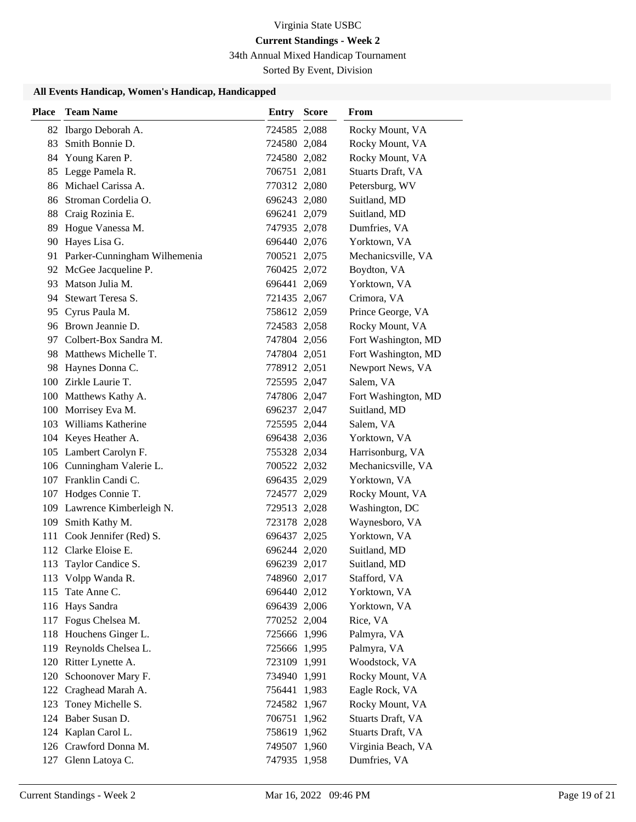# **Current Standings - Week 2**

34th Annual Mixed Handicap Tournament

Sorted By Event, Division

## **All Events Handicap, Women's Handicap, Handicapped**

| <b>Place</b> | <b>Team Name</b>                | <b>Entry Score</b> | From                |
|--------------|---------------------------------|--------------------|---------------------|
|              | 82 Ibargo Deborah A.            | 724585 2,088       | Rocky Mount, VA     |
| 83           | Smith Bonnie D.                 | 724580 2,084       | Rocky Mount, VA     |
| 84           | Young Karen P.                  | 724580 2,082       | Rocky Mount, VA     |
|              | 85 Legge Pamela R.              | 706751 2,081       | Stuarts Draft, VA   |
|              | 86 Michael Carissa A.           | 770312 2,080       | Petersburg, WV      |
|              | 86 Stroman Cordelia O.          | 696243 2,080       | Suitland, MD        |
|              | 88 Craig Rozinia E.             | 696241 2,079       | Suitland, MD        |
|              | 89 Hogue Vanessa M.             | 747935 2,078       | Dumfries, VA        |
|              | 90 Hayes Lisa G.                | 696440 2,076       | Yorktown, VA        |
|              | 91 Parker-Cunningham Wilhemenia | 700521 2,075       | Mechanicsville, VA  |
|              | 92 McGee Jacqueline P.          | 760425 2,072       | Boydton, VA         |
|              | 93 Matson Julia M.              | 696441 2,069       | Yorktown, VA        |
|              | 94 Stewart Teresa S.            | 721435 2,067       | Crimora, VA         |
|              | 95 Cyrus Paula M.               | 758612 2,059       | Prince George, VA   |
|              | 96 Brown Jeannie D.             | 724583 2,058       | Rocky Mount, VA     |
|              | 97 Colbert-Box Sandra M.        | 747804 2,056       | Fort Washington, MD |
| 98           | Matthews Michelle T.            | 747804 2,051       | Fort Washington, MD |
| 98           | Haynes Donna C.                 | 778912 2,051       | Newport News, VA    |
|              | 100 Zirkle Laurie T.            | 725595 2,047       | Salem, VA           |
|              | 100 Matthews Kathy A.           | 747806 2,047       | Fort Washington, MD |
|              | 100 Morrisey Eva M.             | 696237 2,047       | Suitland, MD        |
|              | 103 Williams Katherine          | 725595 2,044       | Salem, VA           |
|              | 104 Keyes Heather A.            | 696438 2,036       | Yorktown, VA        |
|              | 105 Lambert Carolyn F.          | 755328 2,034       | Harrisonburg, VA    |
|              | 106 Cunningham Valerie L.       | 700522 2,032       | Mechanicsville, VA  |
|              | 107 Franklin Candi C.           | 696435 2,029       | Yorktown, VA        |
|              | 107 Hodges Connie T.            | 724577 2,029       | Rocky Mount, VA     |
|              | 109 Lawrence Kimberleigh N.     | 729513 2,028       | Washington, DC      |
|              | 109 Smith Kathy M.              | 723178 2,028       | Waynesboro, VA      |
|              | 111 Cook Jennifer (Red) S.      | 696437 2,025       | Yorktown, VA        |
|              | 112 Clarke Eloise E.            | 696244 2,020       | Suitland, MD        |
| 113          | Taylor Candice S.               | 696239 2,017       | Suitland, MD        |
|              | 113 Volpp Wanda R.              | 748960 2,017       | Stafford, VA        |
| 115          | Tate Anne C.                    | 696440 2,012       | Yorktown, VA        |
|              | 116 Hays Sandra                 | 696439 2,006       | Yorktown, VA        |
|              | 117 Fogus Chelsea M.            | 770252 2,004       | Rice, VA            |
|              | 118 Houchens Ginger L.          | 725666 1,996       | Palmyra, VA         |
|              | 119 Reynolds Chelsea L.         | 725666 1,995       | Palmyra, VA         |
| 120          | Ritter Lynette A.               | 723109 1,991       | Woodstock, VA       |
| 120          | Schoonover Mary F.              | 734940 1,991       | Rocky Mount, VA     |
| 122          | Craghead Marah A.               | 756441 1,983       | Eagle Rock, VA      |
| 123          | Toney Michelle S.               | 724582 1,967       | Rocky Mount, VA     |
|              | 124 Baber Susan D.              | 706751 1,962       | Stuarts Draft, VA   |
|              | 124 Kaplan Carol L.             | 758619 1,962       | Stuarts Draft, VA   |
|              | 126 Crawford Donna M.           | 749507 1,960       | Virginia Beach, VA  |
|              | 127 Glenn Latoya C.             | 747935 1,958       | Dumfries, VA        |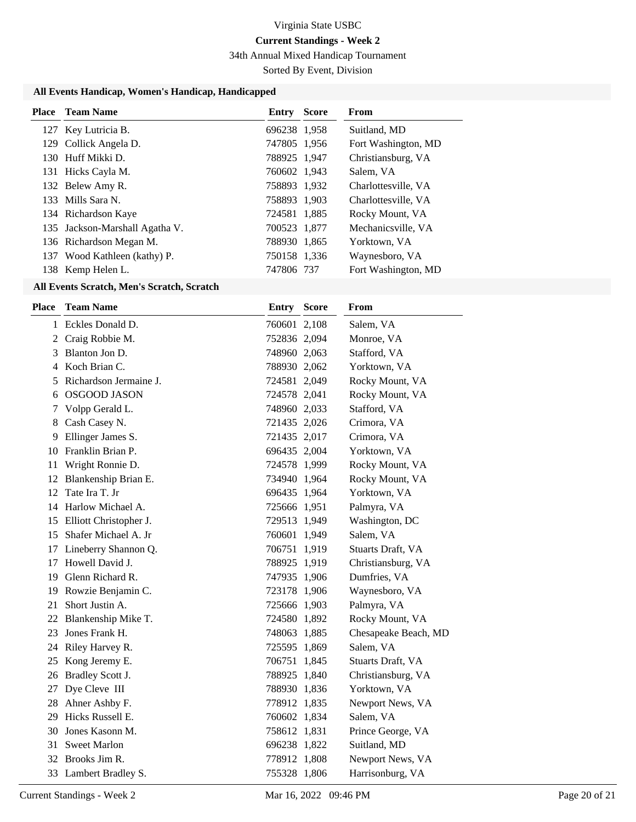# **Current Standings - Week 2**

34th Annual Mixed Handicap Tournament

Sorted By Event, Division

# **All Events Handicap, Women's Handicap, Handicapped**

| <b>Place</b> Team Name         | <b>Entry Score</b> | From                |
|--------------------------------|--------------------|---------------------|
| 127 Key Lutricia B.            | 696238 1,958       | Suitland, MD        |
| 129 Collick Angela D.          | 747805 1,956       | Fort Washington, MD |
| 130 Huff Mikki D.              | 788925 1.947       | Christiansburg, VA  |
| 131 Hicks Cayla M.             | 760602 1,943       | Salem, VA           |
| 132 Belew Amy R.               | 758893 1,932       | Charlottesville, VA |
| 133 Mills Sara N.              | 758893 1,903       | Charlottesville, VA |
| 134 Richardson Kaye            | 724581 1,885       | Rocky Mount, VA     |
| 135 Jackson-Marshall Agatha V. | 700523 1,877       | Mechanicsville, VA  |
| 136 Richardson Megan M.        | 788930 1,865       | Yorktown, VA        |
| 137 Wood Kathleen (kathy) P.   | 750158 1,336       | Waynesboro, VA      |
| 138 Kemp Helen L.              | 747806 737         | Fort Washington, MD |
|                                |                    |                     |

## **All Events Scratch, Men's Scratch, Scratch**

| Place | <b>Team Name</b>          | <b>Entry Score</b> | From                 |
|-------|---------------------------|--------------------|----------------------|
|       | 1 Eckles Donald D.        | 760601 2,108       | Salem, VA            |
|       | 2 Craig Robbie M.         | 752836 2,094       | Monroe, VA           |
| 3     | Blanton Jon D.            | 748960 2,063       | Stafford, VA         |
|       | 4 Koch Brian C.           | 788930 2,062       | Yorktown, VA         |
| 5     | Richardson Jermaine J.    | 724581 2,049       | Rocky Mount, VA      |
| 6     | <b>OSGOOD JASON</b>       | 724578 2,041       | Rocky Mount, VA      |
| 7     | Volpp Gerald L.           | 748960 2,033       | Stafford, VA         |
| 8     | Cash Casey N.             | 721435 2,026       | Crimora, VA          |
| 9     | Ellinger James S.         | 721435 2,017       | Crimora, VA          |
|       | 10 Franklin Brian P.      | 696435 2,004       | Yorktown, VA         |
| 11    | Wright Ronnie D.          | 724578 1,999       | Rocky Mount, VA      |
|       | 12 Blankenship Brian E.   | 734940 1,964       | Rocky Mount, VA      |
| 12    | Tate Ira T. Jr            | 696435 1,964       | Yorktown, VA         |
|       | 14 Harlow Michael A.      | 725666 1,951       | Palmyra, VA          |
|       | 15 Elliott Christopher J. | 729513 1,949       | Washington, DC       |
|       | 15 Shafer Michael A. Jr   | 760601 1,949       | Salem, VA            |
|       | 17 Lineberry Shannon Q.   | 706751 1,919       | Stuarts Draft, VA    |
| 17    | Howell David J.           | 788925 1,919       | Christiansburg, VA   |
|       | 19 Glenn Richard R.       | 747935 1,906       | Dumfries, VA         |
|       | 19 Rowzie Benjamin C.     | 723178 1,906       | Waynesboro, VA       |
| 21    | Short Justin A.           | 725666 1,903       | Palmyra, VA          |
|       | 22 Blankenship Mike T.    | 724580 1,892       | Rocky Mount, VA      |
| 23    | Jones Frank H.            | 748063 1,885       | Chesapeake Beach, MD |
|       | 24 Riley Harvey R.        | 725595 1,869       | Salem, VA            |
|       | 25 Kong Jeremy E.         | 706751 1,845       | Stuarts Draft, VA    |
|       | 26 Bradley Scott J.       | 788925 1,840       | Christiansburg, VA   |
|       | 27 Dye Cleve III          | 788930 1,836       | Yorktown, VA         |
|       | 28 Ahner Ashby F.         | 778912 1,835       | Newport News, VA     |
| 29    | Hicks Russell E.          | 760602 1,834       | Salem, VA            |
| 30    | Jones Kasonn M.           | 758612 1,831       | Prince George, VA    |
| 31    | <b>Sweet Marlon</b>       | 696238 1,822       | Suitland, MD         |
|       | 32 Brooks Jim R.          | 778912 1,808       | Newport News, VA     |
|       | 33 Lambert Bradley S.     | 755328 1,806       | Harrisonburg, VA     |